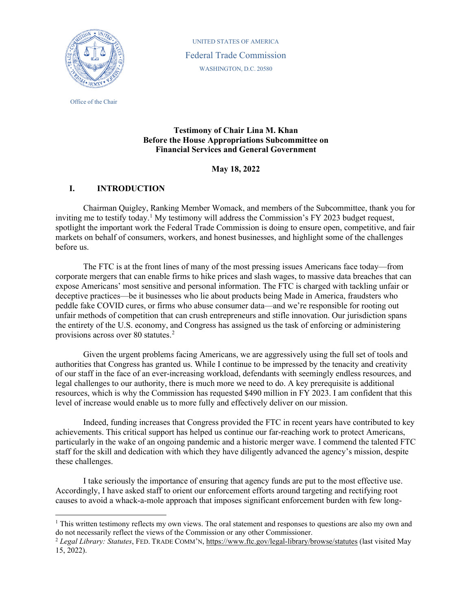

 WASHINGTON, D.C. 20580 UNITED STATES OF AMERICA Federal Trade Commission

Office of the Chair

# **Testimony of Chair Lina M. Khan Before the House Appropriations Subcommittee on Financial Services and General Government**

# **May 18, 2022**

# **I. INTRODUCTION**

 Chairman Quigley, Ranking Member Womack, and members of the Subcommittee, thank you for inviting me to testify today.<sup>1</sup> My testimony will address the Commission's FY 2023 budget request, markets on behalf of consumers, workers, and honest businesses, and highlight some of the challenges spotlight the important work the Federal Trade Commission is doing to ensure open, competitive, and fair before us.

 The FTC is at the front lines of many of the most pressing issues Americans face today—from corporate mergers that can enable firms to hike prices and slash wages, to massive data breaches that can unfair methods of competition that can crush entrepreneurs and stifle innovation. Our jurisdiction spans the entirety of the U.S. economy, and Congress has assigned us the task of enforcing or administering provisions across over 80 statutes.<sup>2</sup> expose Americans' most sensitive and personal information. The FTC is charged with tackling unfair or deceptive practices—be it businesses who lie about products being Made in America, fraudsters who peddle fake COVID cures, or firms who abuse consumer data—and we're responsible for rooting out

 resources, which is why the Commission has requested \$490 million in FY 2023. I am confident that this level of increase would enable us to more fully and effectively deliver on our mission. Given the urgent problems facing Americans, we are aggressively using the full set of tools and authorities that Congress has granted us. While I continue to be impressed by the tenacity and creativity of our staff in the face of an ever-increasing workload, defendants with seemingly endless resources, and legal challenges to our authority, there is much more we need to do. A key prerequisite is additional

 achievements. This critical support has helped us continue our far-reaching work to protect Americans, particularly in the wake of an ongoing pandemic and a historic merger wave. I commend the talented FTC staff for the skill and dedication with which they have diligently advanced the agency's mission, despite Indeed, funding increases that Congress provided the FTC in recent years have contributed to key these challenges.

 I take seriously the importance of ensuring that agency funds are put to the most effective use. Accordingly, I have asked staff to orient our enforcement efforts around targeting and rectifying root causes to avoid a whack-a-mole approach that imposes significant enforcement burden with few long-

<span id="page-0-0"></span> $1$  This written testimony reflects my own views. The oral statement and responses to questions are also my own and do not necessarily reflect the views of the Commission or any other Commissioner.

<span id="page-0-1"></span><sup>2</sup>*Legal Library: Statutes*, FED. TRADE COMM'N[, https://www.ftc.gov/legal-library/browse/statutes](https://www.ftc.gov/legal-library/browse/statutes) (last visited May 15, 2022).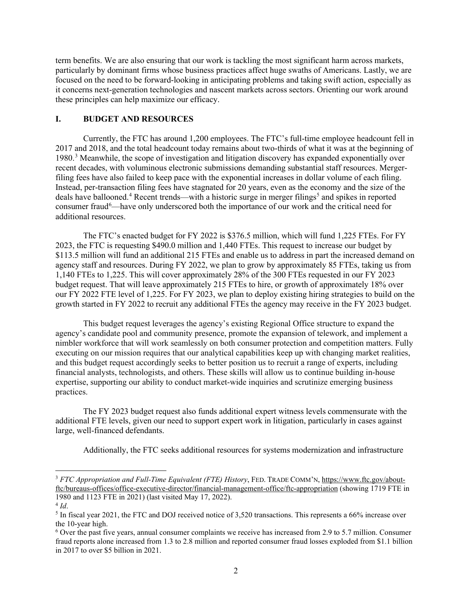term benefits. We are also ensuring that our work is tackling the most significant harm across markets, particularly by dominant firms whose business practices affect huge swaths of Americans. Lastly, we are focused on the need to be forward-looking in anticipating problems and taking swift action, especially as it concerns next-generation technologies and nascent markets across sectors. Orienting our work around these principles can help maximize our efficacy.

### **I. BUDGET AND RESOURCES**

 Instead, per-transaction filing fees have stagnated for 20 years, even as the economy and the size of the deals have ballooned.<sup>[4](#page-1-1)</sup> Recent trends—with a historic surge in merger filings<sup>[5](#page-1-2)</sup> and spikes in reported additional resources. Currently, the FTC has around 1,200 employees. The FTC's full-time employee headcount fell in 2017 and 2018, and the total headcount today remains about two-thirds of what it was at the beginning of 1980.[3](#page-1-0) Meanwhile, the scope of investigation and litigation discovery has expanded exponentially over recent decades, with voluminous electronic submissions demanding substantial staff resources. Mergerfiling fees have also failed to keep pace with the exponential increases in dollar volume of each filing. consumer fraud<sup>[6](#page-1-3)</sup>—have only underscored both the importance of our work and the critical need for

 additional resources. The FTC's enacted budget for FY 2022 is \$376.5 million, which will fund 1,225 FTEs. For FY 2023, the FTC is requesting \$490.0 million and 1,440 FTEs. This request to increase our budget by \$113.5 million will fund an additional 215 FTEs and enable us to address in part the increased demand on agency staff and resources. During FY 2022, we plan to grow by approximately 85 FTEs, taking us from 1,140 FTEs to 1,225. This will cover approximately 28% of the 300 FTEs requested in our FY 2023 our FY 2022 FTE level of 1,225. For FY 2023, we plan to deploy existing hiring strategies to build on the budget request. That will leave approximately 215 FTEs to hire, or growth of approximately 18% over growth started in FY 2022 to recruit any additional FTEs the agency may receive in the FY 2023 budget.

 nimbler workforce that will work seamlessly on both consumer protection and competition matters. Fully executing on our mission requires that our analytical capabilities keep up with changing market realities, and this budget request accordingly seeks to better position us to recruit a range of experts, including financial analysts, technologists, and others. These skills will allow us to continue building in-house practices. This budget request leverages the agency's existing Regional Office structure to expand the agency's candidate pool and community presence, promote the expansion of telework, and implement a expertise, supporting our ability to conduct market-wide inquiries and scrutinize emerging business

 practices. The FY 2023 budget request also funds additional expert witness levels commensurate with the additional FTE levels, given our need to support expert work in litigation, particularly in cases against large, well-financed defendants.

Additionally, the FTC seeks additional resources for systems modernization and infrastructure

<span id="page-1-0"></span><sup>&</sup>lt;sup>3</sup> *FTC Appropriation and Full-Time Equivalent (FTE) History*, FED. TRADE COMM'N[, https://www.ftc.gov/about](https://www.ftc.gov/about-ftc/bureaus-offices/office-executive-director/financial-management-office/ftc-appropriation)[ftc/bureaus-offices/office-executive-director/financial-management-office/ftc-appropriation \(](https://www.ftc.gov/about-ftc/bureaus-offices/office-executive-director/financial-management-office/ftc-appropriation)showing 1719 FTE in 1980 and 1123 FTE in 2021) (last visited May 17, 2022).

<span id="page-1-1"></span> $4$  Id.

<span id="page-1-2"></span><sup>&</sup>lt;sup>5</sup> In fiscal year 2021, the FTC and DOJ received notice of 3,520 transactions. This represents a 66% increase over the 10-year high.<br><sup>6</sup> Over the past five years, annual consumer complaints we receive has increased from 2.9 to 5.7 million. Consumer

<span id="page-1-3"></span>fraud reports alone increased from 1.3 to 2.8 million and reported consumer fraud losses exploded from \$1.1 billion in 2017 to over \$5 billion in 2021.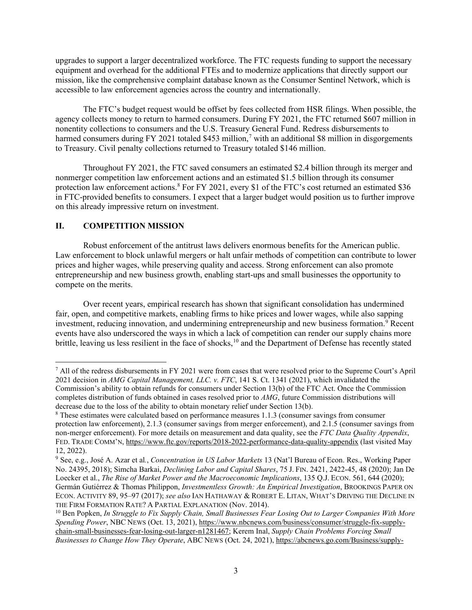upgrades to support a larger decentralized workforce. The FTC requests funding to support the necessary mission, like the comprehensive complaint database known as the Consumer Sentinel Network, which is accessible to law enforcement agencies across the country and internationally. equipment and overhead for the additional FTEs and to modernize applications that directly support our

 accessible to law enforcement agencies across the country and internationally. The FTC's budget request would be offset by fees collected from HSR filings. When possible, the agency collects money to return to harmed consumers. During FY 2021, the FTC returned \$607 million in to Treasury. Civil penalty collections returned to Treasury totaled \$146 million. nonentity collections to consumers and the U.S. Treasury General Fund. Redress disbursements to harmed consumers during FY 2021 totaled \$453 million,<sup>7</sup> with an additional \$8 million in disgorgements

 nonmerger competition law enforcement actions and an estimated \$1.5 billion through its consumer protection law enforcement actions.<sup>8</sup> For FY 2021, every \$1 of the FTC's cost returned an estimated \$36 in FTC-provided benefits to consumers. I expect that a larger budget would position us to further improve Throughout FY 2021, the FTC saved consumers an estimated \$2.4 billion through its merger and on this already impressive return on investment.

### **II. COMPETITION MISSION**

 Law enforcement to block unlawful mergers or halt unfair methods of competition can contribute to lower compete on the merits. Robust enforcement of the antitrust laws delivers enormous benefits for the American public. prices and higher wages, while preserving quality and access. Strong enforcement can also promote entrepreneurship and new business growth, enabling start-ups and small businesses the opportunity to

Over recent years, empirical research has shown that significant consolidation has undermined fair, open, and competitive markets, enabling firms to hike prices and lower wages, while also sapping investment, reducing innovation, and undermining entrepreneurship and new business formation.<sup>9</sup> Recent events have also underscored the ways in which a lack of competition can render our supply chains more brittle, leaving us less resilient in the face of shocks,<sup>10</sup> and the Department of Defense has recently stated

<span id="page-2-0"></span>decrease due to the loss of the ability to obtain monetary relief under Section 13(b). 7 All of the redress disbursements in FY 2021 were from cases that were resolved prior to the Supreme Court's April 2021 decision in *AMG Capital Management, LLC. v. FTC*, 141 S. Ct. 1341 (2021), which invalidated the Commission's ability to obtain refunds for consumers under Section 13(b) of the FTC Act. Once the Commission completes distribution of funds obtained in cases resolved prior to *AMG*, future Commission distributions will

<span id="page-2-1"></span> non-merger enforcement). For more details on measurement and data quality, see the *FTC Data Quality Appendix*,  $\delta$  These estimates were calculated based on performance measures 1.1.3 (consumer savings from consumer protection law enforcement), 2.1.3 (consumer savings from merger enforcement), and 2.1.5 (consumer savings from FED. TRADE COMM'N[, https://www.ftc.gov/reports/2018-2022-performance-data-quality-appendix](https://www.ftc.gov/reports/2018-2022-performance-data-quality-appendix) (last visited May 12, 2022).

<span id="page-2-2"></span> No. 24395, 2018); Simcha Barkai, *Declining Labor and Capital Shares*, 75 J. FIN. 2421, 2422-45, 48 (2020); Jan De ECON. ACTIVITY 89, 95–97 (2017); *see also* IAN HATHAWAY & ROBERT E. LITAN, WHAT'S DRIVING THE DECLINE IN THE FIRM FORMATION RATE? A PARTIAL EXPLANATION (Nov. 2014). 9 See, e.g., José A. Azar et al*.*, *Concentration in US Labor Markets* 13 (Nat'l Bureau of Econ. Res., Working Paper Loecker et al., *The Rise of Market Power and the Macroeconomic Implications*, 135 Q.J. ECON. 561, 644 (2020); Germán Gutiérrez & Thomas Philippon, *Investmentless Growth: An Empirical Investigation*, BROOKINGS PAPER ON

<span id="page-2-3"></span> *Spending Power*, NBC NEWS (Oct. 13, 2021), [https://www.nbcnews.com/business/consumer/struggle-fix-supply-](https://www.nbcnews.com/business/consumer/struggle-fix-supply-chain-small-businesses-fear-losing-out-larger-n1281467)<sup>10</sup> Ben Popken, *In Struggle to Fix Supply Chain, Small Businesses Fear Losing Out to Larger Companies With More* [chain-small-businesses-fear-losing-out-larger-n1281467;](https://www.nbcnews.com/business/consumer/struggle-fix-supply-chain-small-businesses-fear-losing-out-larger-n1281467) Kerem Inal, *Supply Chain Problems Forcing Small Businesses to Change How They Operate*, ABC NEWS (Oct. 24, 2021), [https://abcnews.go.com/Business/supply-](https://abcnews.go.com/Business/supply-chain-problems-forcing-small-businesses-change-operate/story?id=80713564)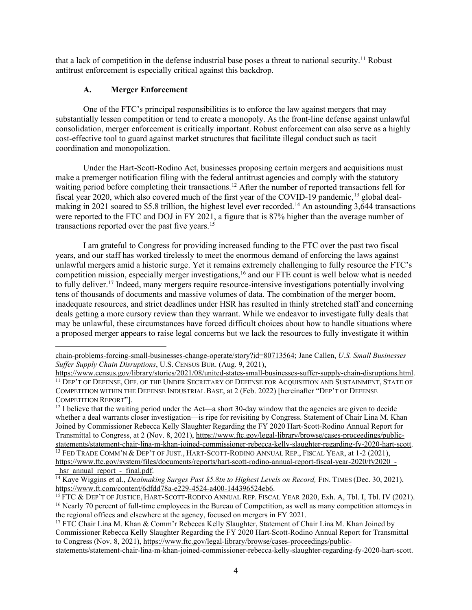that a lack of competition in the defense industrial base poses a threat to national security.<sup>11</sup> Robust antitrust enforcement is especially critical against this backdrop.

# <span id="page-3-7"></span>**A. Merger Enforcement**

 substantially lessen competition or tend to create a monopoly. As the front-line defense against unlawful consolidation, merger enforcement is critically important. Robust enforcement can also serve as a highly cost-effective tool to guard against market structures that facilitate illegal conduct such as tacit One of the FTC's principal responsibilities is to enforce the law against mergers that may coordination and monopolization.

 make a premerger notification filing with the federal antitrust agencies and comply with the statutory waiting period before completing their transactions.<sup>12</sup> After the number of reported transactions fell for fiscal year 2020, which also covered much of the first year of the COVID-19 pandemic,<sup>[13](#page-3-2)</sup> global deal- were reported to the FTC and DOJ in FY 2021, a figure that is 87% higher than the average number of transactions reported over the past five years.<sup>15</sup> Under the Hart-Scott-Rodino Act, businesses proposing certain mergers and acquisitions must making in 2021 soared to \$5.8 trillion, the highest level ever recorded.<sup>[14](#page-3-3)</sup> An astounding 3,644 transactions

 years, and our staff has worked tirelessly to meet the enormous demand of enforcing the laws against unlawful mergers amid a historic surge. Yet it remains extremely challenging to fully resource the FTC's competition mission, especially merger investigations,<sup>16</sup> and our FTE count is well below what is needed tens of thousands of documents and massive volumes of data. The combination of the merger boom, inadequate resources, and strict deadlines under HSR has resulted in thinly stretched staff and concerning deals getting a more cursory review than they warrant. While we endeavor to investigate fully deals that I am grateful to Congress for providing increased funding to the FTC over the past two fiscal to fully deliver.<sup>17</sup> Indeed, many mergers require resource-intensive investigations potentially involving may be unlawful, these circumstances have forced difficult choices about how to handle situations where a proposed merger appears to raise legal concerns but we lack the resources to fully investigate it within

<span id="page-3-1"></span>Transmittal to Congress, at 2 (Nov. 8, 2021), [https://www.ftc.gov/legal-library/browse/cases-proceedings/public](https://www.ftc.gov/legal-library/browse/cases-proceedings/public-statements/statement-chair-lina-m-khan-joined-commissioner-rebecca-kelly-slaughter-regarding-fy-2020-hart-scott)[statements/statement-chair-lina-m-khan-joined-commissioner-rebecca-kelly-slaughter-regarding-fy-2020-hart-scott.](https://www.ftc.gov/legal-library/browse/cases-proceedings/public-statements/statement-chair-lina-m-khan-joined-commissioner-rebecca-kelly-slaughter-regarding-fy-2020-hart-scott)<br><sup>13</sup> FED TRADE COMM'N & DEP'T OF JUST., HART-SCOTT-RODINO ANNUAL REP., FISCAL YEAR, at 1-2 (2021), <sup>12</sup> I believe that the waiting period under the Act—a short 30-day window that the agencies are given to decide whether a deal warrants closer investigation—is ripe for revisiting by Congress. Statement of Chair Lina M. Khan Joined by Commissioner Rebecca Kelly Slaughter Regarding the FY 2020 Hart-Scott-Rodino Annual Report for [https://www.ftc.gov/system/files/documents/reports/hart-scott-rodino-annual-report-fiscal-year-2020/fy2020\\_-](https://www.ftc.gov/system/files/documents/reports/hart-scott-rodino-annual-report-fiscal-year-2020/fy2020_-_hsr_annual_report_-_final.pdf)

[chain-problems-forcing-small-businesses-change-operate/story?id=80713564;](https://abcnews.go.com/Business/supply-chain-problems-forcing-small-businesses-change-operate/story?id=80713564) Jane Callen, *U.S. Small Businesses Suffer Supply Chain Disruptions*, U.S. CENSUS BUR. (Aug. 9, 2021),<br>https://www.census.gov/library/stories/2021/08/united-states-small-businesses-suffer-supply-chain-disruptions.html.

<span id="page-3-0"></span>[https://www.census.gov/library/stories/2021/08/united-states-small-businesses-suffer-supply-chain-disruptions.html.](https://www.census.gov/library/stories/2021/08/united-states-small-businesses-suffer-supply-chain-disruptions.html)<br><sup>11</sup> DEP'T OF DEFENSE, OFF. OF THE UNDER SECRETARY OF DEFENSE FOR ACQUISITION AND SUSTAINMENT, STATE OF COMPETITION WITHIN THE DEFENSE INDUSTRIAL BASE, at 2 (Feb. 2022) [hereinafter "DEP'T OF DEFENSE COMPETITION REPORT"].

<span id="page-3-3"></span><span id="page-3-2"></span>hsr\_annual\_report -\_final.pdf.<br><sup>14</sup> Kaye Wiggins et al., *Dealmaking Surges Past \$5.8tn to Highest Levels on Record*, FIN. TIMES (Dec. 30, 2021),<br>https://www.ft.com/content/6dfdd78a-e229-4524-a400-144396524eb6.

<span id="page-3-5"></span><span id="page-3-4"></span>[https://www.ft.com/content/6dfdd78a-e229-4524-a400-144396524eb6.](https://www.ft.com/content/6dfdd78a-e229-4524-a400-144396524eb6)<br><sup>15</sup> FTC & DEP'T OF JUSTICE, HART-SCOTT-RODINO ANNUAL REP. FISCAL YEAR 2020, Exh. A, Tbl. I, Tbl. IV (2021).<br><sup>16</sup> Nearly 70 percent of full-time employees in the regional offices and elsewhere at the agency, focused on mergers in FY 2021.

<span id="page-3-6"></span>to Congress (Nov. 8, 2021), [https://www.ftc.gov/legal-library/browse/cases-proceedings/public-](https://www.ftc.gov/legal-library/browse/cases-proceedings/public-statements/statement-chair-lina-m-khan-joined-commissioner-rebecca-kelly-slaughter-regarding-fy-2020-hart-scott)<sup>17</sup> FTC Chair Lina M. Khan & Comm'r Rebecca Kelly Slaughter, Statement of Chair Lina M. Khan Joined by Commissioner Rebecca Kelly Slaughter Regarding the FY 2020 Hart-Scott-Rodino Annual Report for Transmittal [statements/statement-chair-lina-m-khan-joined-commissioner-rebecca-kelly-slaughter-regarding-fy-2020-hart-scott.](https://www.ftc.gov/legal-library/browse/cases-proceedings/public-statements/statement-chair-lina-m-khan-joined-commissioner-rebecca-kelly-slaughter-regarding-fy-2020-hart-scott)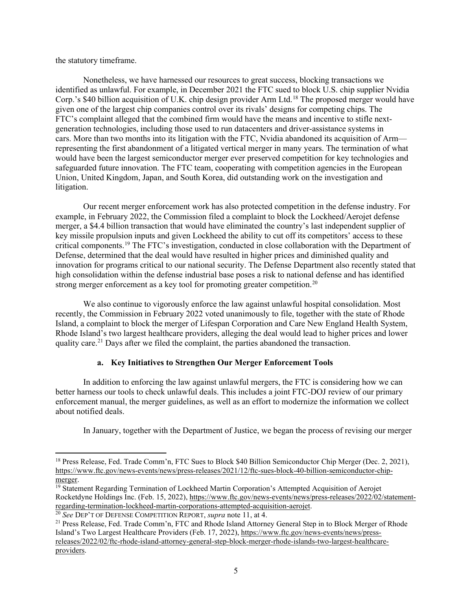the statutory timeframe.

 identified as unlawful. For example, in December 2021 the FTC sued to block U.S. chip supplier Nvidia FTC's complaint alleged that the combined firm would have the means and incentive to stifle next- cars. More than two months into its litigation with the FTC, Nvidia abandoned its acquisition of Arm— representing the first abandonment of a litigated vertical merger in many years. The termination of what safeguarded future innovation. The FTC team, cooperating with competition agencies in the European Nonetheless, we have harnessed our resources to great success, blocking transactions we Corp.'s \$40 billion acquisition of U.K. chip design provider Arm Ltd.[18](#page-4-0) The proposed merger would have given one of the largest chip companies control over its rivals' designs for competing chips. The generation technologies, including those used to run datacenters and driver-assistance systems in would have been the largest semiconductor merger ever preserved competition for key technologies and Union, United Kingdom, Japan, and South Korea, did outstanding work on the investigation and litigation.

 merger, a \$4.4 billion transaction that would have eliminated the country's last independent supplier of key missile propulsion inputs and given Lockheed the ability to cut off its competitors' access to these innovation for programs critical to our national security. The Defense Department also recently stated that high consolidation within the defense industrial base poses a risk to national defense and has identified strong merger enforcement as a key tool for promoting greater competition.<sup>[20](#page-4-2)</sup> Our recent merger enforcement work has also protected competition in the defense industry. For example, in February 2022, the Commission filed a complaint to block the Lockheed/Aerojet defense critical components.[19](#page-4-1) The FTC's investigation, conducted in close collaboration with the Department of Defense, determined that the deal would have resulted in higher prices and diminished quality and

 recently, the Commission in February 2022 voted unanimously to file, together with the state of Rhode Island, a complaint to block the merger of Lifespan Corporation and Care New England Health System, quality care.<sup>21</sup> Days after we filed the complaint, the parties abandoned the transaction. We also continue to vigorously enforce the law against unlawful hospital consolidation. Most Rhode Island's two largest healthcare providers, alleging the deal would lead to higher prices and lower

### **a. Key Initiatives to Strengthen Our Merger Enforcement Tools**

 In addition to enforcing the law against unlawful mergers, the FTC is considering how we can enforcement manual, the merger guidelines, as well as an effort to modernize the information we collect better harness our tools to check unlawful deals. This includes a joint FTC-DOJ review of our primary about notified deals.

In January, together with the Department of Justice, we began the process of revising our merger

<span id="page-4-0"></span><sup>&</sup>lt;sup>18</sup> Press Release, Fed. Trade Comm'n, FTC Sues to Block \$40 Billion Semiconductor Chip Merger (Dec. 2, 2021), [https://www.ftc.gov/news-events/news/press-releases/2021/12/ftc-sues-block-40-billion-semiconductor-chip](https://www.ftc.gov/news-events/news/press-releases/2021/12/ftc-sues-block-40-billion-semiconductor-chip-merger)merger.<br><sup>19</sup> Statement Regarding Termination of Lockheed Martin Corporation's Attempted Acquisition of Aerojet

<span id="page-4-1"></span>Rocketdyne Holdings Inc. (Feb. 15, 2022), https://www.ftc.gov/news-events/news/press-releases/2022/02/statement-<br>regarding-termination-lockheed-martin-corporations-attempted-acquisition-aerojet.

<span id="page-4-2"></span> $\frac{20}{20}$  See DEP'T OF DEFENSE COMPETITION REPORT, supra note 11, at 4.

<span id="page-4-3"></span><sup>&</sup>lt;sup>21</sup> Press Release, Fed. Trade Comm'n, FTC and Rhode Island Attorney General Step in to Block Merger of Rhode Island's Two Largest Healthcare Providers (Feb. 17, 2022), [https://www.ftc.gov/news-events/news/press](https://www.ftc.gov/news-events/news/press-releases/2022/02/ftc-rhode-island-attorney-general-step-block-merger-rhode-islands-two-largest-healthcare-providers)[releases/2022/02/ftc-rhode-island-attorney-general-step-block-merger-rhode-islands-two-largest-healthcare](https://www.ftc.gov/news-events/news/press-releases/2022/02/ftc-rhode-island-attorney-general-step-block-merger-rhode-islands-two-largest-healthcare-providers)[providers.](https://www.ftc.gov/news-events/news/press-releases/2022/02/ftc-rhode-island-attorney-general-step-block-merger-rhode-islands-two-largest-healthcare-providers)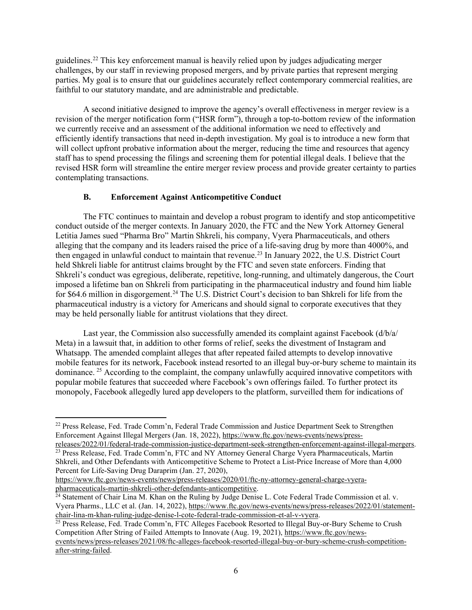guidelines.<sup>22</sup> This key enforcement manual is heavily relied upon by judges adjudicating merger parties. My goal is to ensure that our guidelines accurately reflect contemporary commercial realities, are challenges, by our staff in reviewing proposed mergers, and by private parties that represent merging faithful to our statutory mandate, and are administrable and predictable.

 A second initiative designed to improve the agency's overall effectiveness in merger review is a revision of the merger notification form ("HSR form"), through a top-to-bottom review of the information we currently receive and an assessment of the additional information we need to effectively and efficiently identify transactions that need in-depth investigation. My goal is to introduce a new form that staff has to spend processing the filings and screening them for potential illegal deals. I believe that the revised HSR form will streamline the entire merger review process and provide greater certainty to parties contemplating transactions. will collect upfront probative information about the merger, reducing the time and resources that agency

### **B. Enforcement Against Anticompetitive Conduct**

 The FTC continues to maintain and develop a robust program to identify and stop anticompetitive conduct outside of the merger contexts. In January 2020, the FTC and the New York Attorney General imposed a lifetime ban on Shkreli from participating in the pharmaceutical industry and found him liable for \$64.6 million in disgorgement.<sup>[24](#page-5-2)</sup> The U.S. District Court's decision to ban Shkreli for life from the pharmaceutical industry is a victory for Americans and should signal to corporate executives that they Letitia James sued "Pharma Bro" Martin Shkreli, his company, Vyera Pharmaceuticals, and others alleging that the company and its leaders raised the price of a life-saving drug by more than 4000%, and then engaged in unlawful conduct to maintain that revenue.<sup>23</sup> In January 2022, the U.S. District Court held Shkreli liable for antitrust claims brought by the FTC and seven state enforcers. Finding that Shkreli's conduct was egregious, deliberate, repetitive, long-running, and ultimately dangerous, the Court may be held personally liable for antitrust violations that they direct.

 Meta) in a lawsuit that, in addition to other forms of relief, seeks the divestment of Instagram and Whatsapp. The amended complaint alleges that after repeated failed attempts to develop innovative mobile features for its network, Facebook instead resorted to an illegal buy-or-bury scheme to maintain its dominance. <sup>25</sup> According to the complaint, the company unlawfully acquired innovative competitors with popular mobile features that succeeded where Facebook's own offerings failed. To further protect its Last year, the Commission also successfully amended its complaint against Facebook (d/b/a/ monopoly, Facebook allegedly lured app developers to the platform, surveilled them for indications of

<span id="page-5-0"></span><sup>22</sup> Press Release, Fed. Trade Comm'n, Federal Trade Commission and Justice Department Seek to Strengthen Enforcement Against Illegal Mergers (Jan. 18, 2022)[, https://www.ftc.gov/news-events/news/press-](https://www.ftc.gov/news-events/news/press-releases/2022/01/federal-trade-commission-justice-department-seek-strengthen-enforcement-against-illegal-mergers)

<span id="page-5-1"></span>releases/2022/01/federal-trade-commission-justice-department-seek-strengthen-enforcement-against-illegal-mergers. Shkreli, and Other Defendants with Anticompetitive Scheme to Protect a List-Price Increase of More than 4,000 <sup>23</sup> Press Release, Fed. Trade Comm'n, FTC and NY Attorney General Charge Vyera Pharmaceuticals, Martin Percent for Life-Saving Drug Daraprim (Jan. 27, 2020),

[https://www.ftc.gov/news-events/news/press-releases/2020/01/ftc-ny-attorney-general-charge-vyera](https://www.ftc.gov/news-events/news/press-releases/2020/01/ftc-ny-attorney-general-charge-vyera-pharmaceuticals-martin-shkreli-other-defendants-anticompetitive)[pharmaceuticals-martin-shkreli-other-defendants-anticompetitive.](https://www.ftc.gov/news-events/news/press-releases/2020/01/ftc-ny-attorney-general-charge-vyera-pharmaceuticals-martin-shkreli-other-defendants-anticompetitive)<br><sup>24</sup> Statement of Chair Lina M. Khan on the Ruling by Judge Denise L. Cote Federal Trade Commission et al. v.

<span id="page-5-2"></span>Vyera Pharms., LLC et al. (Jan. 14, 2022), https://www.ftc.gov/news-events/news/press-releases/2022/01/statement-<br>chair-lina-m-khan-ruling-judge-denise-l-cote-federal-trade-commission-et-al-v-vyera.

<span id="page-5-3"></span><sup>&</sup>lt;sup>25</sup> Press Release, Fed. Trade Comm'n, FTC Alleges Facebook Resorted to Illegal Buy-or-Bury Scheme to Crush Competition After String of Failed Attempts to Innovate (Aug. 19, 2021), [https://www.ftc.gov/news](https://www.ftc.gov/news-events/news/press-releases/2021/08/ftc-alleges-facebook-resorted-illegal-buy-or-bury-scheme-crush-competition-after-string-failed)[events/news/press-releases/2021/08/ftc-alleges-facebook-resorted-illegal-buy-or-bury-scheme-crush-competition](https://www.ftc.gov/news-events/news/press-releases/2021/08/ftc-alleges-facebook-resorted-illegal-buy-or-bury-scheme-crush-competition-after-string-failed)[after-string-failed.](https://www.ftc.gov/news-events/news/press-releases/2021/08/ftc-alleges-facebook-resorted-illegal-buy-or-bury-scheme-crush-competition-after-string-failed)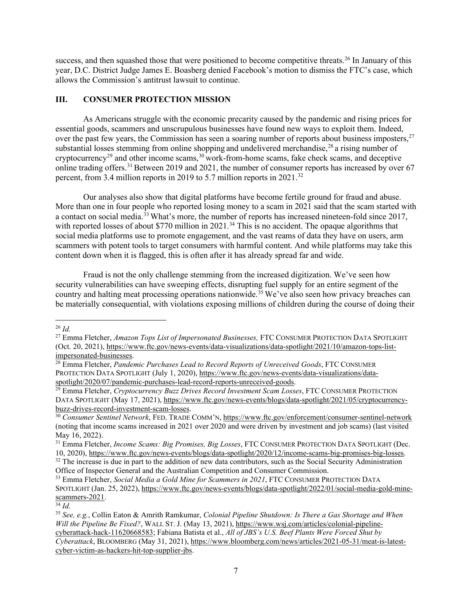success, and then squashed those that were positioned to become competitive threats.<sup>26</sup> In January of this allows the Commission's antitrust lawsuit to continue. year, D.C. District Judge James E. Boasberg denied Facebook's motion to dismiss the FTC's case, which

### **III. CONSUMER PROTECTION MISSION**

 As Americans struggle with the economic precarity caused by the pandemic and rising prices for over the past few years, the Commission has seen a soaring number of reports about business imposters,  $27$ online trading offers.<sup>[31](#page-6-5)</sup> Between 2019 and 2021, the number of consumer reports has increased by over 67 percent, from 3.4 million reports in 2019 to 5.7 million reports in  $2021$ .<sup>[32](#page-6-6)</sup> essential goods, scammers and unscrupulous businesses have found new ways to exploit them. Indeed, substantial losses stemming from online shopping and undelivered merchandise, $^{28}$  a rising number of cryptocurrency<sup>[29](#page-6-3)</sup> and other income scams,  $30$  work-from-home scams, fake check scams, and deceptive

a contact on social media.<sup>33</sup> What's more, the number of reports has increased nineteen-fold since 2017, social media platforms use to promote engagement, and the vast reams of data they have on users, arm scammers with potent tools to target consumers with harmful content. And while platforms may take this content down when it is flagged, this is often after it has already spread far and wide. Our analyses also show that digital platforms have become fertile ground for fraud and abuse. More than one in four people who reported losing money to a scam in 2021 said that the scam started with with reported losses of about \$770 million in 2021.<sup>34</sup> This is no accident. The opaque algorithms that

 Fraud is not the only challenge stemming from the increased digitization. We've seen how security vulnerabilities can have sweeping effects, disrupting fuel supply for an entire segment of the country and halting meat processing operations nationwide.<sup>35</sup> We've also seen how privacy breaches can be materially consequential, with violations exposing millions of children during the course of doing their

<span id="page-6-0"></span> 26 *Id.* 

<span id="page-6-1"></span> (Oct. 20, 2021), [https://www.ftc.gov/news-events/data-visualizations/data-spotlight/2021/10/amazon-tops-list-](https://www.ftc.gov/news-events/data-visualizations/data-spotlight/2021/10/amazon-tops-list-impersonated-businesses)27 Emma Fletcher, *Amazon Tops List of Impersonated Businesses,* FTC CONSUMER PROTECTION DATA SPOTLIGHT [impersonated-businesses.](https://www.ftc.gov/news-events/data-visualizations/data-spotlight/2021/10/amazon-tops-list-impersonated-businesses) 28 Emma Fletcher, *Pandemic Purchases Lead to Record Reports of Unreceived Goods*, FTC CONSUMER

<span id="page-6-2"></span>PROTECTION DATA SPOTLIGHT (July 1, 2020), https://www.ftc.gov/news-events/data-visualizations/data-<br>spotlight/2020/07/pandemic-purchases-lead-record-reports-unreceived-goods.

<span id="page-6-3"></span> [spotlight/2020/07/pandemic-purchases-lead-record-reports-unreceived-goods.](https://www.ftc.gov/news-events/data-visualizations/data-spotlight/2020/07/pandemic-purchases-lead-record-reports-unreceived-goods) 29 Emma Fletcher, *Cryptocurrency Buzz Drives Record Investment Scam Losses*, FTC CONSUMER PROTECTION DATA SPOTLIGHT (May 17, 2021), [https://www.ftc.gov/news-events/blogs/data-spotlight/2021/05/cryptocurrency-](https://www.ftc.gov/news-events/blogs/data-spotlight/2021/05/cryptocurrency-buzz-drives-record-investment-scam-losses)

<span id="page-6-4"></span><sup>(</sup>noting that income scams increased in 2021 over 2020 and were driven by investment and job scams) (last visited May 16, 2022). [buzz-drives-record-investment-scam-losses.](https://www.ftc.gov/news-events/blogs/data-spotlight/2021/05/cryptocurrency-buzz-drives-record-investment-scam-losses)<br><sup>30</sup> Consumer Sentinel Network, FED. TRADE COMM'N, https://www.ftc.gov/enforcement/consumer-sentinel-network<br>(noting that income scams increased in 2021 over 2020 and were driven

<span id="page-6-5"></span><sup>&</sup>lt;sup>31</sup> Emma Fletcher, *Income Scams: Big Promises, Big Losses*, FTC CONSUMER PROTECTION DATA SPOTLIGHT (Dec. 10, 2020), https://www.ftc.gov/news-events/blogs/data-spotlight/2020/12/income-scams-big-promises-big-losses.

<span id="page-6-6"></span><sup>&</sup>lt;sup>32</sup> The increase is due in part to the addition of new data contributors, such as the Social Security Administration Office of Inspector General and the Australian Competition and Consumer Commission.

<span id="page-6-7"></span><sup>33</sup> Emma Fletcher, *Social Media a Gold Mine for Scammers in 2021*, FTC CONSUMER PROTECTION DATA SPOTLIGHT (Jan. 25, 2022)[, https://www.ftc.gov/news-events/blogs/data-spotlight/2022/01/social-media-gold-mine](https://www.ftc.gov/news-events/blogs/data-spotlight/2022/01/social-media-gold-mine-scammers-2021)scammers-2021.

<span id="page-6-8"></span> $\overline{34}$   $\overline{Id}$ .

<span id="page-6-9"></span> <sup>35</sup>*See, e.g.*, Collin Eaton & Amrith Ramkumar, *Colonial Pipeline Shutdown: Is There a Gas Shortage and When Will the Pipeline Be Fixed?*, WALL ST. J. (May 13, 2021), [https://www.wsj.com/articles/colonial-pipeline](https://www.wsj.com/articles/colonial-pipeline-cyberattack-hack-11620668583)[cyberattack-hack-11620668583;](https://www.wsj.com/articles/colonial-pipeline-cyberattack-hack-11620668583) Fabiana Batista et al., *All of JBS's U.S. Beef Plants Were Forced Shut by Cyberattack*, BLOOMBERG (May 31, 2021)[, https://www.bloomberg.com/news/articles/2021-05-31/meat-is-latest](https://www.bloomberg.com/news/articles/2021-05-31/meat-is-latest-cyber-victim-as-hackers-hit-top-supplier-jbs)[cyber-victim-as-hackers-hit-top-supplier-jbs.](https://www.bloomberg.com/news/articles/2021-05-31/meat-is-latest-cyber-victim-as-hackers-hit-top-supplier-jbs)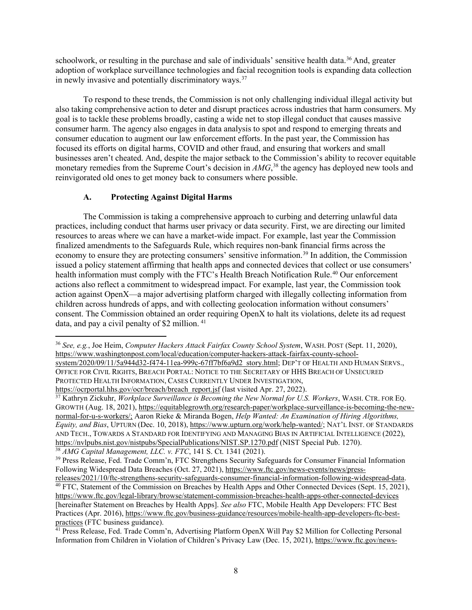adoption of workplace surveillance technologies and facial recognition tools is expanding data collection in newly invasive and potentially discriminatory ways.<sup>37</sup> schoolwork, or resulting in the purchase and sale of individuals' sensitive health data.<sup>[36](#page-7-0)</sup> And, greater

 goal is to tackle these problems broadly, casting a wide net to stop illegal conduct that causes massive consumer education to augment our law enforcement efforts. In the past year, the Commission has businesses aren't cheated. And, despite the major setback to the Commission's ability to recover equitable monetary remedies from the Supreme Court's decision in *AMG*, [38](#page-7-2) the agency has deployed new tools and To respond to these trends, the Commission is not only challenging individual illegal activity but also taking comprehensive action to deter and disrupt practices across industries that harm consumers. My consumer harm. The agency also engages in data analysis to spot and respond to emerging threats and focused its efforts on digital harms, COVID and other fraud, and ensuring that workers and small reinvigorated old ones to get money back to consumers where possible.

### **A. Protecting Against Digital Harms**

 practices, including conduct that harms user privacy or data security. First, we are directing our limited finalized amendments to the Safeguards Rule, which requires non-bank financial firms across the actions also reflect a commitment to widespread impact. For example, last year, the Commission took data, and pay a civil penalty of \$2 million.<sup>41</sup> The Commission is taking a comprehensive approach to curbing and deterring unlawful data resources to areas where we can have a market-wide impact. For example, last year the Commission economy to ensure they are protecting consumers' sensitive information.<sup>39</sup> In addition, the Commission issued a policy statement affirming that health apps and connected devices that collect or use consumers' health information must comply with the FTC's Health Breach Notification Rule.<sup>40</sup> Our enforcement action against OpenX—a major advertising platform charged with illegally collecting information from children across hundreds of apps, and with collecting geolocation information without consumers' consent. The Commission obtained an order requiring OpenX to halt its violations, delete its ad request

<span id="page-7-0"></span> OFFICE FOR CIVIL RIGHTS, BREACH PORTAL: NOTICE TO THE SECRETARY OF HHS BREACH OF UNSECURED PROTECTED HEALTH INFORMATION, CASES CURRENTLY UNDER INVESTIGATION, <sup>36</sup>*See, e.g.*, Joe Heim, *Computer Hackers Attack Fairfax County School System*, WASH. POST (Sept. 11, 2020), [https://www.washingtonpost.com/local/education/computer-hackers-attack-fairfax-county-school](https://www.washingtonpost.com/local/education/computer-hackers-attack-fairfax-county-school-system/2020/09/11/5a944d32-f474-11ea-999c-67ff7bf6a9d2_story.html)[system/2020/09/11/5a944d32-f474-11ea-999c-67ff7bf6a9d2\\_story.html;](https://www.washingtonpost.com/local/education/computer-hackers-attack-fairfax-county-school-system/2020/09/11/5a944d32-f474-11ea-999c-67ff7bf6a9d2_story.html) DEP'T OF HEALTH AND HUMAN SERVS.,

<span id="page-7-1"></span>[https://ocrportal.hhs.gov/ocr/breach/breach\\_report.jsf](https://ocrportal.hhs.gov/ocr/breach/breach_report.jsf) (last visited Apr. 27, 2022).<br><sup>37</sup> Kathryn Zickuhr, *Workplace Surveillance is Becoming the New Normal for U.S. Workers*, WASH. CTR. FOR EQ. *Equity, and Bias*, UPTURN (Dec. 10, 2018)[, https://www.upturn.org/work/help-wanted/;](https://www.upturn.org/work/help-wanted/) NAT'L INST. OF STANDARDS GROWTH (Aug. 18, 2021), [https://equitablegrowth.org/research-paper/workplace-surveillance-is-becoming-the-new](https://equitablegrowth.org/research-paper/workplace-surveillance-is-becoming-the-new-normal-for-u-s-workers/;)[normal-for-u-s-workers/;](https://equitablegrowth.org/research-paper/workplace-surveillance-is-becoming-the-new-normal-for-u-s-workers/;) Aaron Rieke & Miranda Bogen, *Help Wanted: An Examination of Hiring Algorithms,*  AND TECH., TOWARDS A STANDARD FOR IDENTIFYING AND MANAGING BIAS IN ARTIFICIAL INTELLIGENCE (2022), <https://nvlpubs.nist.gov/nistpubs/SpecialPublications/NIST.SP.1270.pdf>(NIST Special Pub. 1270).<br><sup>38</sup> AMG Capital Management, LLC. v. FTC, 141 S. Ct. 1341 (2021).<br><sup>39</sup> Press Release, Fed. Trade Comm'n, FTC Strengthens Secu

<span id="page-7-3"></span><span id="page-7-2"></span>Following Widespread Data Breaches (Oct. 27, 2021)[, https://www.ftc.gov/news-events/news/press-](https://www.ftc.gov/news-events/news/press-releases/2021/10/ftc-strengthens-security-safeguards-consumer-financial-information-following-widespread-data)

<span id="page-7-4"></span>[releases/2021/10/ftc-strengthens-security-safeguards-consumer-financial-information-following-widespread-data.](https://www.ftc.gov/news-events/news/press-releases/2021/10/ftc-strengthens-security-safeguards-consumer-financial-information-following-widespread-data)<br><sup>40</sup> FTC, Statement of the Commission on Breaches by Health Apps and Other Connected Devices (Sept. 15, 2021), <https://www.ftc.gov/legal-library/browse/statement-commission-breaches-health-apps-other-connected-devices> [hereinafter Statement on Breaches by Health Apps]. *See also* FTC, Mobile Health App Developers: FTC Best Practices (Apr. 2016), https://www.ftc.gov/business-guidance/resources/mobile-health-app-developers-ftc-best-<br>practices (FTC business guidance).

<span id="page-7-5"></span> $\frac{41}{41}$  Press Release, Fed. Trade Comm'n, Advertising Platform OpenX Will Pay \$2 Million for Collecting Personal Information from Children in Violation of Children's Privacy Law (Dec. 15, 2021), [https://www.ftc.gov/news-](https://www.ftc.gov/news-events/news/press-releases/2021/12/advertising-platform-openx-will-pay-2-million-collecting-personal-information-children-violation)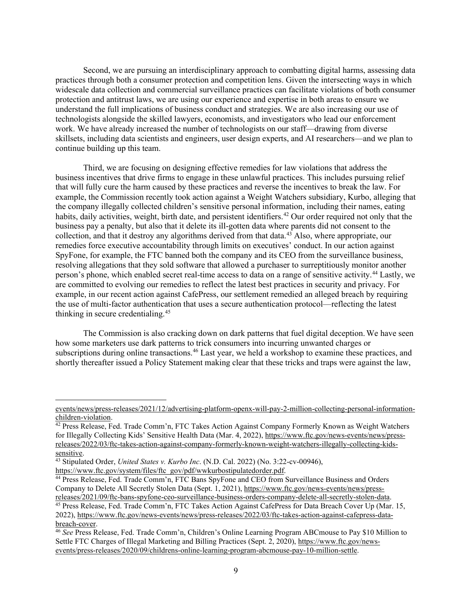understand the full implications of business conduct and strategies. We are also increasing our use of technologists alongside the skilled lawyers, economists, and investigators who lead our enforcement skillsets, including data scientists and engineers, user design experts, and AI researchers—and we plan to Second, we are pursuing an interdisciplinary approach to combatting digital harms, assessing data practices through both a consumer protection and competition lens. Given the intersecting ways in which widescale data collection and commercial surveillance practices can facilitate violations of both consumer protection and antitrust laws, we are using our experience and expertise in both areas to ensure we work. We have already increased the number of technologists on our staff—drawing from diverse continue building up this team.

 Third, we are focusing on designing effective remedies for law violations that address the business incentives that drive firms to engage in these unlawful practices. This includes pursuing relief that will fully cure the harm caused by these practices and reverse the incentives to break the law. For the company illegally collected children's sensitive personal information, including their names, eating habits, daily activities, weight, birth date, and persistent identifiers.<sup>42</sup> Our order required not only that the business pay a penalty, but also that it delete its ill-gotten data where parents did not consent to the are committed to evolving our remedies to reflect the latest best practices in security and privacy. For example, in our recent action against CafePress, our settlement remedied an alleged breach by requiring thinking in secure credentialing.<sup>[45](#page-8-3)</sup> example, the Commission recently took action against a Weight Watchers subsidiary, Kurbo, alleging that collection, and that it destroy any algorithms derived from that data.[43](#page-8-1) Also, where appropriate, our remedies force executive accountability through limits on executives' conduct. In our action against SpyFone, for example, the FTC banned both the company and its CEO from the surveillance business, resolving allegations that they sold software that allowed a purchaser to surreptitiously monitor another person's phone, which enabled secret real-time access to data on a range of sensitive activity.[44](#page-8-2) Lastly, we the use of multi-factor authentication that uses a secure authentication protocol—reflecting the latest

subscriptions during online transactions.<sup>[46](#page-8-4)</sup> Last year, we held a workshop to examine these practices, and shortly thereafter issued a Policy Statement making clear that these tricks and traps were against the law, The Commission is also cracking down on dark patterns that fuel digital deception. We have seen how some marketers use dark patterns to trick consumers into incurring unwanted charges or

[events/news/press-releases/2021/12/advertising-platform-openx-will-pay-2-million-collecting-personal-information](https://www.ftc.gov/news-events/news/press-releases/2021/12/advertising-platform-openx-will-pay-2-million-collecting-personal-information-children-violation)[children-violation.](https://www.ftc.gov/news-events/news/press-releases/2021/12/advertising-platform-openx-will-pay-2-million-collecting-personal-information-children-violation)<br><sup>42</sup> Press Release, Fed. Trade Comm'n, FTC Takes Action Against Company Formerly Known as Weight Watchers

<span id="page-8-0"></span>for Illegally Collecting Kids' Sensitive Health Data (Mar. 4, 2022), [https://www.ftc.gov/news-events/news/press](https://www.ftc.gov/news-events/news/press-releases/2022/03/ftc-takes-action-against-company-formerly-known-weight-watchers-illegally-collecting-kids-sensitive)[releases/2022/03/ftc-takes-action-against-company-formerly-known-weight-watchers-illegally-collecting-kids-](https://www.ftc.gov/news-events/news/press-releases/2022/03/ftc-takes-action-against-company-formerly-known-weight-watchers-illegally-collecting-kids-sensitive)

<span id="page-8-1"></span><sup>&</sup>lt;sup>43</sup> Stipulated Order, *United States v. Kurbo Inc.* (N.D. Cal. 2022) (No. 3:22-cv-00946), https://www.ftc.gov/system/files/ftc\_gov/pdf/wwkurbostipulatedorder.pdf.

<span id="page-8-2"></span>Company to Delete All Secretly Stolen Data (Sept. 1, 2021)[, https://www.ftc.gov/news-events/news/press-](https://www.ftc.gov/news-events/news/press-releases/2021/09/ftc-bans-spyfone-ceo-surveillance-business-orders-company-delete-all-secretly-stolen-data)<sup>44</sup> Press Release, Fed. Trade Comm'n, FTC Bans SpyFone and CEO from Surveillance Business and Orders

<span id="page-8-3"></span>[releases/2021/09/ftc-bans-spyfone-ceo-surveillance-business-orders-company-delete-all-secretly-stolen-data.](https://www.ftc.gov/news-events/news/press-releases/2021/09/ftc-bans-spyfone-ceo-surveillance-business-orders-company-delete-all-secretly-stolen-data)<br><sup>45</sup> Press Release, Fed. Trade Comm'n, FTC Takes Action Against CafePress for Data Breach Cover Up (Mar. 15, 2022), [https://www.ftc.gov/news-events/news/press-releases/2022/03/ftc-takes-action-against-cafepress-data-](https://www.ftc.gov/news-events/news/press-releases/2022/03/ftc-takes-action-against-cafepress-data-breach-cover)

<span id="page-8-4"></span> [breach-cover.](https://www.ftc.gov/news-events/news/press-releases/2022/03/ftc-takes-action-against-cafepress-data-breach-cover) 46 *See* Press Release, Fed. Trade Comm'n, Children's Online Learning Program ABCmouse to Pay \$10 Million to Settle FTC Charges of Illegal Marketing and Billing Practices (Sept. 2, 2020)[, https://www.ftc.gov/news](https://www.ftc.gov/news-events/press-releases/2020/09/childrens-online-learning-program-abcmouse-pay-10-million-settle)[events/press-releases/2020/09/childrens-online-learning-program-abcmouse-pay-10-million-settle.](https://www.ftc.gov/news-events/press-releases/2020/09/childrens-online-learning-program-abcmouse-pay-10-million-settle)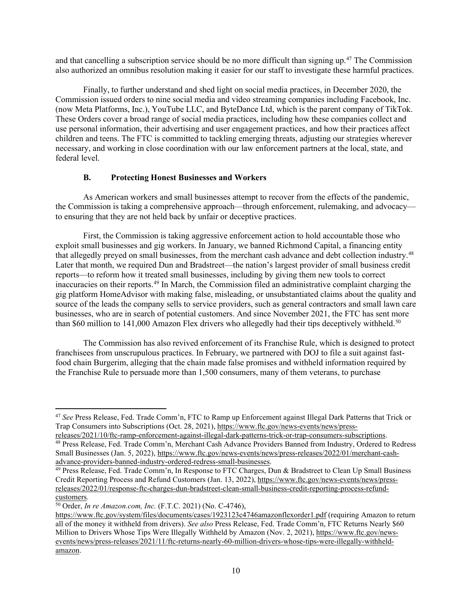also authorized an omnibus resolution making it easier for our staff to investigate these harmful practices. and that cancelling a subscription service should be no more difficult than signing up.<sup>[47](#page-9-0)</sup> The Commission

 use personal information, their advertising and user engagement practices, and how their practices affect necessary, and working in close coordination with our law enforcement partners at the local, state, and Finally, to further understand and shed light on social media practices, in December 2020, the Commission issued orders to nine social media and video streaming companies including Facebook, Inc. (now Meta Platforms, Inc.), YouTube LLC, and ByteDance Ltd, which is the parent company of TikTok. These Orders cover a broad range of social media practices, including how these companies collect and children and teens. The FTC is committed to tackling emerging threats, adjusting our strategies wherever federal level.

#### **B. Protecting Honest Businesses and Workers**

 As American workers and small businesses attempt to recover from the effects of the pandemic, the Commission is taking a comprehensive approach—through enforcement, rulemaking, and advocacy to ensuring that they are not held back by unfair or deceptive practices.

 Later that month, we required Dun and Bradstreet—the nation's largest provider of small business credit reports—to reform how it treated small businesses, including by giving them new tools to correct source of the leads the company sells to service providers, such as general contractors and small lawn care businesses, who are in search of potential customers. And since November 2021, the FTC has sent more than \$60 million to 141,000 Amazon Flex drivers who allegedly had their tips deceptively withheld.<sup>[50](#page-9-3)</sup> First, the Commission is taking aggressive enforcement action to hold accountable those who exploit small businesses and gig workers. In January, we banned Richmond Capital, a financing entity that allegedly preyed on small businesses, from the merchant cash advance and debt collection industry.[48](#page-9-1) inaccuracies on their reports.[49](#page-9-2) In March, the Commission filed an administrative complaint charging the gig platform HomeAdvisor with making false, misleading, or unsubstantiated claims about the quality and

 franchisees from unscrupulous practices. In February, we partnered with DOJ to file a suit against fast-The Commission has also revived enforcement of its Franchise Rule, which is designed to protect food chain Burgerim, alleging that the chain made false promises and withheld information required by the Franchise Rule to persuade more than 1,500 consumers, many of them veterans, to purchase

<span id="page-9-0"></span> Trap Consumers into Subscriptions (Oct. 28, 2021), [https://www.ftc.gov/news-events/news/press-](https://www.ftc.gov/news-events/news/press-releases/2021/10/ftc-ramp-enforcement-against-illegal-dark-patterns-trick-or-trap-consumers-subscriptions)<sup>47</sup>*See* Press Release, Fed. Trade Comm'n, FTC to Ramp up Enforcement against Illegal Dark Patterns that Trick or

<span id="page-9-1"></span>[releases/2021/10/ftc-ramp-enforcement-against-illegal-dark-patterns-trick-or-trap-consumers-subscriptions.](https://www.ftc.gov/news-events/news/press-releases/2021/10/ftc-ramp-enforcement-against-illegal-dark-patterns-trick-or-trap-consumers-subscriptions) 48 Press Release, Fed. Trade Comm'n, Merchant Cash Advance Providers Banned from Industry, Ordered to Redress Small Businesses (Jan. 5, 2022), https://www.ftc.gov/news-events/news/press-releases/2022/01/merchant-cash-<br>advance-providers-banned-industry-ordered-redress-small-businesses.

<span id="page-9-2"></span><sup>&</sup>lt;sup>49</sup> Press Release, Fed. Trade Comm'n, In Response to FTC Charges, Dun & Bradstreet to Clean Up Small Business Credit Reporting Process and Refund Customers (Jan. 13, 2022), [https://www.ftc.gov/news-events/news/press](https://www.ftc.gov/news-events/news/press-releases/2022/01/response-ftc-charges-dun-bradstreet-clean-small-business-credit-reporting-process-refund-customers)[releases/2022/01/response-ftc-charges-dun-bradstreet-clean-small-business-credit-reporting-process-refund-](https://www.ftc.gov/news-events/news/press-releases/2022/01/response-ftc-charges-dun-bradstreet-clean-small-business-credit-reporting-process-refund-customers)

<span id="page-9-3"></span><sup>&</sup>lt;sup>50</sup> Order, *In re [Amazon.com](https://Amazon.com), Inc.* (F.T.C. 2021) (No. C-4746),

[https://www.ftc.gov/system/files/documents/cases/1923123c4746amazonflexorder1.pdf \(](https://www.ftc.gov/system/files/documents/cases/1923123c4746amazonflexorder1.pdf)requiring Amazon to return all of the money it withheld from drivers). *See also* Press Release, Fed. Trade Comm'n, FTC Returns Nearly \$60 Million to Drivers Whose Tips Were Illegally Withheld by Amazon (Nov. 2, 2021), [https://www.ftc.gov/news](https://www.ftc.gov/news-events/news/press-releases/2021/11/ftc-returns-nearly-60-million-drivers-whose-tips-were-illegally-withheld-amazon)[events/news/press-releases/2021/11/ftc-returns-nearly-60-million-drivers-whose-tips-were-illegally-withheld](https://www.ftc.gov/news-events/news/press-releases/2021/11/ftc-returns-nearly-60-million-drivers-whose-tips-were-illegally-withheld-amazon)[amazon.](https://www.ftc.gov/news-events/news/press-releases/2021/11/ftc-returns-nearly-60-million-drivers-whose-tips-were-illegally-withheld-amazon)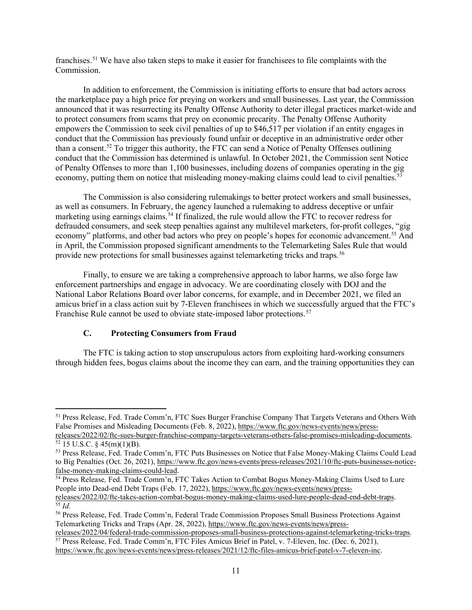franchises.[51](#page-10-0) We have also taken steps to make it easier for franchisees to file complaints with the Commission.

 announced that it was resurrecting its Penalty Offense Authority to deter illegal practices market-wide and to protect consumers from scams that prey on economic precarity. The Penalty Offense Authority than a consent.<sup>[52](#page-10-1)</sup> To trigger this authority, the FTC can send a Notice of Penalty Offenses outlining economy, putting them on notice that misleading money-making claims could lead to civil penalties.<sup>[53](#page-10-2)</sup> In addition to enforcement, the Commission is initiating efforts to ensure that bad actors across the marketplace pay a high price for preying on workers and small businesses. Last year, the Commission empowers the Commission to seek civil penalties of up to \$46,517 per violation if an entity engages in conduct that the Commission has previously found unfair or deceptive in an administrative order other conduct that the Commission has determined is unlawful. In October 2021, the Commission sent Notice of Penalty Offenses to more than 1,100 businesses, including dozens of companies operating in the gig

 as well as consumers. In February, the agency launched a rulemaking to address deceptive or unfair marketing using earnings claims.<sup>54</sup> If finalized, the rule would allow the FTC to recover redress for provide new protections for small businesses against telemarketing tricks and traps.<sup>[56](#page-10-5)</sup> The Commission is also considering rulemakings to better protect workers and small businesses, defrauded consumers, and seek steep penalties against any multilevel marketers, for-profit colleges, "gig economy" platforms, and other bad actors who prey on people's hopes for economic advancement.<sup>55</sup> And in April, the Commission proposed significant amendments to the Telemarketing Sales Rule that would

 Finally, to ensure we are taking a comprehensive approach to labor harms, we also forge law amicus brief in a class action suit by 7-Eleven franchisees in which we successfully argued that the FTC's Franchise Rule cannot be used to obviate state-imposed labor protections.<sup>57</sup> enforcement partnerships and engage in advocacy. We are coordinating closely with DOJ and the National Labor Relations Board over labor concerns, for example, and in December 2021, we filed an

# **C. Protecting Consumers from Fraud**

 through hidden fees, bogus claims about the income they can earn, and the training opportunities they can The FTC is taking action to stop unscrupulous actors from exploiting hard-working consumers

<span id="page-10-0"></span> 51 Press Release, Fed. Trade Comm'n, FTC Sues Burger Franchise Company That Targets Veterans and Others With False Promises and Misleading Documents (Feb. 8, 2022), [https://www.ftc.gov/news-events/news/press-](https://www.ftc.gov/news-events/news/press-releases/2022/02/ftc-sues-burger-franchise-company-targets-veterans-others-false-promises-misleading-documents)

<span id="page-10-1"></span>[releases/2022/02/ftc-sues-burger-franchise-company-targets-veterans-others-false-promises-misleading-documents.](https://www.ftc.gov/news-events/news/press-releases/2022/02/ftc-sues-burger-franchise-company-targets-veterans-others-false-promises-misleading-documents)<br><sup>52</sup> 15 U.S.C. § 45(m)(1)(B).<br><sup>53</sup> Press Release, Fed. Trade Comm'n, FTC Puts Businesses on Notice that False

<span id="page-10-2"></span>to Big Penalties (Oct. 26, 2021), https://www.ftc.gov/news-events/press-releases/2021/10/ftc-puts-businesses-notice-<br>false-money-making-claims-could-lead.

<span id="page-10-3"></span><sup>&</sup>lt;sup>54</sup> Press Release, Fed. Trade Comm'n, FTC Takes Action to Combat Bogus Money-Making Claims Used to Lure People into Dead-end Debt Traps (Feb. 17, 2022), [https://www.ftc.gov/news-events/news/press-](https://www.ftc.gov/news-events/news/press-releases/2022/02/ftc-takes-action-combat-bogus-money-making-claims-used-lure-people-dead-end-debt-traps)

<span id="page-10-4"></span> $\overline{55}$  Id. [releases/2022/02/ftc-takes-action-combat-bogus-money-making-claims-used-lure-people-dead-end-debt-traps.](https://www.ftc.gov/news-events/news/press-releases/2022/02/ftc-takes-action-combat-bogus-money-making-claims-used-lure-people-dead-end-debt-traps) 55 *Id.* 

<span id="page-10-5"></span><sup>56</sup> Press Release, Fed. Trade Comm'n, Federal Trade Commission Proposes Small Business Protections Against Telemarketing Tricks and Traps (Apr. 28, 2022), [https://www.ftc.gov/news-events/news/press-](https://www.ftc.gov/news-events/news/press-releases/2022/04/federal-trade-commission-proposes-small-business-protections-against-telemarketing-tricks-traps)

<span id="page-10-6"></span>[releases/2022/04/federal-trade-commission-proposes-small-business-protections-against-telemarketing-tricks-traps.](https://www.ftc.gov/news-events/news/press-releases/2022/04/federal-trade-commission-proposes-small-business-protections-against-telemarketing-tricks-traps)<br><sup>57</sup> Press Release, Fed. Trade Comm'n, FTC Files Amicus Brief in Patel, v. 7-Eleven, Inc. (Dec. 6, 2021),

[https://www.ftc.gov/news-events/news/press-releases/2021/12/ftc-files-amicus-brief-patel-v-7-eleven-inc.](https://www.ftc.gov/news-events/news/press-releases/2021/12/ftc-files-amicus-brief-patel-v-7-eleven-inc)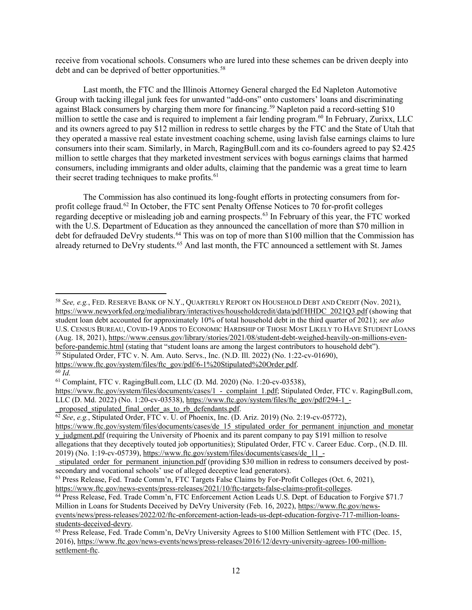receive from vocational schools. Consumers who are lured into these schemes can be driven deeply into debt and can be deprived of better opportunities.<sup>58</sup>

 Group with tacking illegal junk fees for unwanted "add-ons" onto customers' loans and discriminating against Black consumers by charging them more for financing.<sup>59</sup> Napleton paid a record-setting \$10 million to settle the case and is required to implement a fair lending program.<sup>60</sup> In February, Zurixx, LLC and its owners agreed to pay \$12 million in redress to settle charges by the FTC and the State of Utah that Last month, the FTC and the Illinois Attorney General charged the Ed Napleton Automotive they operated a massive real estate investment coaching scheme, using lavish false earnings claims to lure consumers into their scam. Similarly, in March, [RagingBull.com](https://RagingBull.com) and its co-founders agreed to pay \$2.425 million to settle charges that they marketed investment services with bogus earnings claims that harmed consumers, including immigrants and older adults, claiming that the pandemic was a great time to learn their secret trading techniques to make profits.<sup>61</sup>

already returned to DeVry students.<sup>65</sup> And last month, the FTC announced a settlement with St. James The Commission has also continued its long-fought efforts in protecting consumers from for-profit college fraud.<sup>[62](#page-11-4)</sup> In October, the FTC sent Penalty Offense Notices to 70 for-profit colleges regarding deceptive or misleading job and earning prospects.<sup>63</sup> In February of this year, the FTC worked with the U.S. Department of Education as they announced the cancellation of more than \$70 million in debt for defrauded DeVry students.<sup>64</sup> This was on top of more than \$100 million that the Commission has

<span id="page-11-0"></span> student loan debt accounted for approximately 10% of total household debt in the third quarter of 2021); *see also*  U.S. CENSUS BUREAU, COVID-19 ADDS TO ECONOMIC HARDSHIP OF THOSE MOST LIKELY TO HAVE STUDENT LOANS <sup>58</sup>*See, e.g.*, FED. RESERVE BANK OF N.Y., QUARTERLY REPORT ON HOUSEHOLD DEBT AND CREDIT (Nov. 2021), [https://www.newyorkfed.org/medialibrary/interactives/householdcredit/data/pdf/HHDC\\_2021Q3.pdf](https://www.newyorkfed.org/medialibrary/interactives/householdcredit/data/pdf/HHDC_2021Q3.pdf) (showing that (Aug. 18, 2021), https://www.census.gov/library/stories/2021/08/student-debt-weighed-heavily-on-millions-even-<br>before-pandemic.html (stating that "student loans are among the largest contributors to household debt").

<span id="page-11-1"></span><sup>&</sup>lt;sup>59</sup> Stipulated Order, FTC v. N. Am. Auto. Servs., Inc. (N.D. Ill. 2022) (No. 1:22-cv-01690),

[https://www.ftc.gov/system/files/ftc\\_gov/pdf/6-1%20Stipulated%20Order.pdf.](https://www.ftc.gov/system/files/ftc_gov/pdf/6-1%20Stipulated%20Order.pdf)

<span id="page-11-2"></span> $\overline{60}$   $\overline{Id}$ .

<span id="page-11-3"></span><sup>61</sup> Complaint, FTC v. [RagingBull.com,](https://RagingBull.com) LLC (D. Md. 2020) (No. 1:20-cv-03538),

https://www.ftc.gov/system/files/documents/cases/1 - complaint 1.pdf; Stipulated Order, FTC v. [RagingBull.com,](https://RagingBull.com) LLC (D. Md. 2022) (No. 1:20-cv-03538), [https://www.ftc.gov/system/files/ftc\\_gov/pdf/294-1\\_-](https://www.ftc.gov/system/files/ftc_gov/pdf/294-1_-_proposed_stipulated_final_order_as_to_rb_defendants.pdf)

 [\\_proposed\\_stipulated\\_final\\_order\\_as\\_to\\_rb\\_defendants.pdf.](https://www.ftc.gov/system/files/ftc_gov/pdf/294-1_-_proposed_stipulated_final_order_as_to_rb_defendants.pdf) 62 *See*, *e.g.*, Stipulated Order, FTC v. U. of Phoenix, Inc. (D. Ariz. 2019) (No. 2:19-cv-05772),

<span id="page-11-4"></span>https://www.ftc.gov/system/files/documents/cases/de 15 stipulated order for permanent injunction and monetar [y\\_judgment.pdf](https://www.ftc.gov/system/files/documents/cases/de_15_stipulated_order_for_permanent_injunction_and_monetary_judgment.pdf) (requiring the University of Phoenix and its parent company to pay \$191 million to resolve

 allegations that they deceptively touted job opportunities); Stipulated Order, FTC v. Career Educ. Corp., (N.D. Ill. 2019) (No. 1:19-cv-05739)[, https://www.ftc.gov/system/files/documents/cases/de\\_11\\_-](https://www.ftc.gov/system/files/documents/cases/de_11_-_stipulated_order_for_permanent_injunction.pdf)

[\\_stipulated\\_order\\_for\\_permanent\\_injunction.pdf](https://www.ftc.gov/system/files/documents/cases/de_11_-_stipulated_order_for_permanent_injunction.pdf) (providing \$30 million in redress to consumers deceived by post-

<span id="page-11-5"></span><sup>&</sup>lt;sup>63</sup> Press Release, Fed. Trade Comm'n, FTC Targets False Claims by For-Profit Colleges (Oct. 6, 2021), https://www.ftc.gov/news-events/press-releases/2021/10/ftc-targets-false-claims-profit-colleges.

<span id="page-11-6"></span><sup>&</sup>lt;sup>64</sup> Press Release, Fed. Trade Comm'n, FTC Enforcement Action Leads U.S. Dept. of Education to Forgive \$71.7 Million in Loans for Students Deceived by DeVry University (Feb. 16, 2022)[, https://www.ftc.gov/news](https://www.ftc.gov/news-events/news/press-releases/2022/02/ftc-enforcement-action-leads-us-dept-education-forgive-717-million-loans-students-deceived-devry)[events/news/press-releases/2022/02/ftc-enforcement-action-leads-us-dept-education-forgive-717-million-loans](https://www.ftc.gov/news-events/news/press-releases/2022/02/ftc-enforcement-action-leads-us-dept-education-forgive-717-million-loans-students-deceived-devry)[students-deceived-devry.](https://www.ftc.gov/news-events/news/press-releases/2022/02/ftc-enforcement-action-leads-us-dept-education-forgive-717-million-loans-students-deceived-devry)<br><sup>65</sup> Press Release, Fed. Trade Comm'n, DeVry University Agrees to \$100 Million Settlement with FTC (Dec. 15,

<span id="page-11-7"></span><sup>2016),</sup> [https://www.ftc.gov/news-events/news/press-releases/2016/12/devry-university-agrees-100-million](https://www.ftc.gov/news-events/news/press-releases/2016/12/devry-university-agrees-100-million-settlement-ftc)[settlement-ftc.](https://www.ftc.gov/news-events/news/press-releases/2016/12/devry-university-agrees-100-million-settlement-ftc)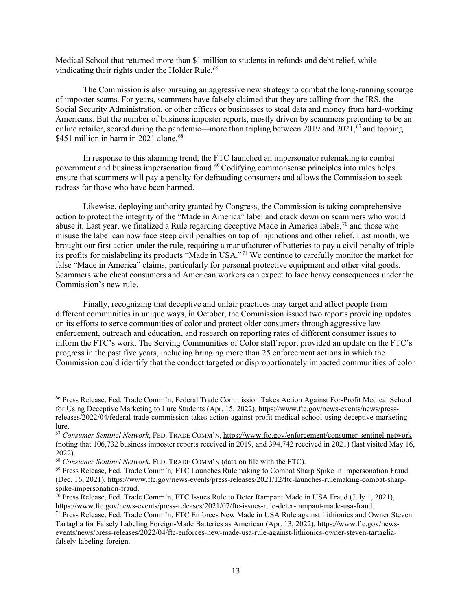Medical School that returned more than \$1 million to students in refunds and debt relief, while vindicating their rights under the Holder Rule.<sup>[66](#page-12-0)</sup>

 The Commission is also pursuing an aggressive new strategy to combat the long-running scourge Americans. But the number of business imposter reports, mostly driven by scammers pretending to be an of imposter scams. For years, scammers have falsely claimed that they are calling from the IRS, the Social Security Administration, or other offices or businesses to steal data and money from hard-working online retailer, soared during the pandemic—more than tripling between 2019 and 2021,<sup>[67](#page-12-1)</sup> and topping \$451 million in harm in  $2021$  alone.<sup>68</sup>

 In response to this alarming trend, the FTC launched an impersonator rulemaking to combat ensure that scammers will pay a penalty for defrauding consumers and allows the Commission to seek redress for those who have been harmed. government and business impersonation fraud.<sup>[69](#page-12-3)</sup> Codifying commonsense principles into rules helps

 misuse the label can now face steep civil penalties on top of injunctions and other relief. Last month, we its profits for mislabeling its products "Made in USA."[71](#page-12-5) We continue to carefully monitor the market for Scammers who cheat consumers and American workers can expect to face heavy consequences under the Likewise, deploying authority granted by Congress, the Commission is taking comprehensive action to protect the integrity of the "Made in America" label and crack down on scammers who would abuse it. Last year, we finalized a Rule regarding deceptive Made in America labels,  $\frac{70}{10}$  and those who brought our first action under the rule, requiring a manufacturer of batteries to pay a civil penalty of triple false "Made in America" claims, particularly for personal protective equipment and other vital goods. Commission's new rule.

 Finally, recognizing that deceptive and unfair practices may target and affect people from on its efforts to serve communities of color and protect older consumers through aggressive law enforcement, outreach and education, and research on reporting rates of different consumer issues to inform the FTC's work. The Serving Communities of Color staff report provided an update on the FTC's Commission could identify that the conduct targeted or disproportionately impacted communities of color different communities in unique ways, in October, the Commission issued two reports providing updates progress in the past five years, including bringing more than 25 enforcement actions in which the

<span id="page-12-0"></span><sup>66</sup> Press Release, Fed. Trade Comm'n, Federal Trade Commission Takes Action Against For-Profit Medical School for Using Deceptive Marketing to Lure Students (Apr. 15, 2022)[, https://www.ftc.gov/news-events/news/press](https://www.ftc.gov/news-events/news/press-releases/2022/04/federal-trade-commission-takes-action-against-profit-medical-school-using-deceptive-marketing-lure)[releases/2022/04/federal-trade-commission-takes-action-against-profit-medical-school-using-deceptive-marketing-](https://www.ftc.gov/news-events/news/press-releases/2022/04/federal-trade-commission-takes-action-against-profit-medical-school-using-deceptive-marketing-lure)

<span id="page-12-1"></span><sup>&</sup>lt;u>lure</u>.<br><sup>67</sup> Consumer Sentinel Network, FED. TRADE COMM'N, https://www.ftc.gov/enforcement/consumer-sentinel-network<br>(noting that 106,732 business imposter reports received in 2019, and 394,742 received in 2021) (last visi 2022).<br><sup>68</sup> Consumer Sentinel Network, FED. TRADE COMM'N (data on file with the FTC).

<span id="page-12-3"></span><span id="page-12-2"></span> (Dec. 16, 2021), [https://www.ftc.gov/news-events/press-releases/2021/12/ftc-launches-rulemaking-combat-sharp-](https://www.ftc.gov/news-events/press-releases/2021/12/ftc-launches-rulemaking-combat-sharp-spike-impersonation-fraud)<sup>69</sup> Press Release, Fed. Trade Comm'n, FTC Launches Rulemaking to Combat Sharp Spike in Impersonation Fraud

<span id="page-12-4"></span>[spike-impersonation-fraud.](https://www.ftc.gov/news-events/press-releases/2021/12/ftc-launches-rulemaking-combat-sharp-spike-impersonation-fraud)<br><sup>70</sup> Press Release, Fed. Trade Comm'n, FTC Issues Rule to Deter Rampant Made in USA Fraud (July 1, 2021),<br>https://www.ftc.gov/news-events/press-releases/2021/07/ftc-issues-rule-deter-rampant-made

<span id="page-12-5"></span><sup>&</sup>lt;sup>71</sup> Press Release, Fed. Trade Comm'n, FTC Enforces New Made in USA Rule against Lithionics and Owner Steven Tartaglia for Falsely Labeling Foreign-Made Batteries as American (Apr. 13, 2022), [https://www.ftc.gov/news](https://www.ftc.gov/news-events/news/press-releases/2022/04/ftc-enforces-new-made-usa-rule-against-lithionics-owner-steven-tartaglia-falsely-labeling-foreign)[events/news/press-releases/2022/04/ftc-enforces-new-made-usa-rule-against-lithionics-owner-steven-tartaglia](https://www.ftc.gov/news-events/news/press-releases/2022/04/ftc-enforces-new-made-usa-rule-against-lithionics-owner-steven-tartaglia-falsely-labeling-foreign)[falsely-labeling-foreign.](https://www.ftc.gov/news-events/news/press-releases/2022/04/ftc-enforces-new-made-usa-rule-against-lithionics-owner-steven-tartaglia-falsely-labeling-foreign)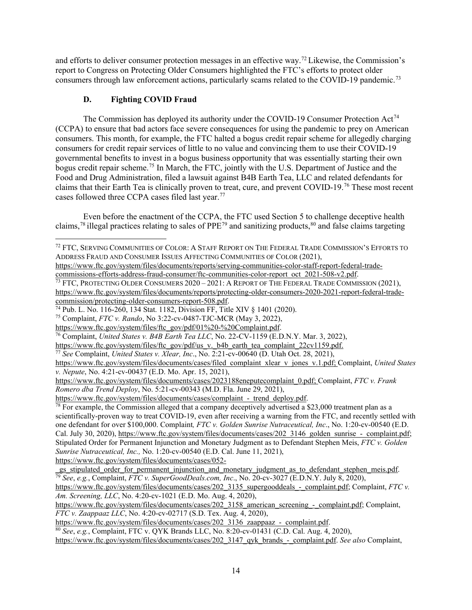and efforts to deliver consumer protection messages in an effective way.<sup>[72](#page-13-0)</sup> Likewise, the Commission's report to Congress on Protecting Older Consumers highlighted the FTC's efforts to protect older consumers through law enforcement actions, particularly scams related to the COVID-19 pandemic.<sup>[73](#page-13-1)</sup>

# **D. Fighting COVID Fraud**

 consumers. This month, for example, the FTC halted a bogus credit repair scheme for allegedly charging consumers for credit repair services of little to no value and convincing them to use their COVID-19 claims that their Earth Tea is clinically proven to treat, cure, and prevent COVID-19.<sup>[76](#page-13-4)</sup> These most recent The Commission has deployed its authority under the COVID-19 Consumer Protection Act<sup>74</sup> (CCPA) to ensure that bad actors face severe consequences for using the pandemic to prey on American governmental benefits to invest in a bogus business opportunity that was essentially starting their own bogus credit repair scheme.<sup>75</sup> In March, the FTC, jointly with the U.S. Department of Justice and the Food and Drug Administration, filed a lawsuit against B4B Earth Tea, LLC and related defendants for cases followed three CCPA cases filed last year.[77](#page-13-5)

claims,<sup>78</sup> illegal practices relating to sales of PPE<sup>79</sup> and sanitizing products,<sup>80</sup> and false claims targeting Even before the enactment of the CCPA, the FTC used Section 5 to challenge deceptive health

[https://www.ftc.gov/system/files/documents/cases/052-](https://www.ftc.gov/system/files/documents/cases/052-_gs_stipulated_order_for_permanent_injunction_and_monetary_judgment_as_to_defendant_stephen_meis.pdf)

<span id="page-13-8"></span>[https://www.ftc.gov/system/files/documents/cases/202\\_3136\\_zaappaaz\\_-\\_complaint.pdf.](https://www.ftc.gov/system/files/documents/cases/202_3136_zaappaaz_-_complaint.pdf) 80 *See*, *e.g.*, Complaint, FTC v. QYK Brands LLC, No. 8:20-cv-01431 (C.D. Cal. Aug. 4, 2020),

<span id="page-13-0"></span> $^{72}$  FTC, Serving Communities of Color: A Staff Report on The Federal Trade Commission's Efforts to ADDRESS FRAUD AND CONSUMER ISSUES AFFECTING COMMUNITIES OF COLOR (2021),

[https://www.ftc.gov/system/files/documents/reports/serving-communities-color-staff-report-federal-trade-](https://www.ftc.gov/system/files/documents/reports/serving-communities-color-staff-report-federal-trade-commissions-efforts-address-fraud-consumer/ftc-communities-color-report_oct_2021-508-v2.pdf)

<span id="page-13-1"></span>[commissions-efforts-address-fraud-consumer/ftc-communities-color-report\\_oct\\_2021-508-v2.pdf.](https://www.ftc.gov/system/files/documents/reports/serving-communities-color-staff-report-federal-trade-commissions-efforts-address-fraud-consumer/ftc-communities-color-report_oct_2021-508-v2.pdf)<br><sup>73</sup> FTC, PROTECTING OLDER CONSUMERS 2020 – 2021: A REPORT OF THE FEDERAL TRADE COMMISSION (2021), [https://www.ftc.gov/system/files/documents/reports/protecting-older-consumers-2020-2021-report-federal-trade-](https://www.ftc.gov/system/files/documents/reports/protecting-older-consumers-2020-2021-report-federal-trade-commission/protecting-older-consumers-report-508.pdf)

<span id="page-13-2"></span><sup>&</sup>lt;sup>74</sup> Pub. L. No. 116-260, 134 Stat. 1182, Division FF, Title XIV § 1401 (2020).<br><sup>75</sup> Complaint, *FTC v. Rando*, No 3:22-cv-0487-TJC-MCR (May 3, 2022),<br>https://www.ftc.gov/system/files/ftc\_gov/pdf/01%20-%20Complaint.pdf.

<span id="page-13-3"></span>

<span id="page-13-4"></span><sup>&</sup>lt;sup>76</sup> Complaint, *United States v. B4B Earth Tea LLC*, No. 22-CV-1159 (E.D.N.Y. Mar. 3, 2022),

 [https://www.ftc.gov/system/files/ftc\\_gov/pdf/us\\_v.\\_b4b\\_earth\\_tea\\_complaint\\_22cv1159.pdf.](https://www.ftc.gov/system/files/ftc_gov/pdf/us_v._b4b_earth_tea_complaint_22cv1159.pdf) 77 *See* Complaint, *United States v. Xlear, Inc*., No. 2:21-cv-00640 (D. Utah Oct. 28, 2021),

<span id="page-13-5"></span>

[https://www.ftc.gov/system/files/documents/cases/filed\\_complaint\\_xlear\\_v\\_jones\\_v.1.pdf;](https://www.ftc.gov/system/files/documents/cases/filed_complaint_xlear_v_jones_v.1.pdf) Complaint, *United States v. Nepute*, No. 4:21-cv-00437 (E.D. Mo. Apr. 15, 2021),

[https://www.ftc.gov/system/files/documents/cases/2023188eneputecomplaint\\_0.pdf;](https://www.ftc.gov/system/files/documents/cases/2023188eneputecomplaint_0.pdf) Complaint, *FTC v. Frank Romero dba Trend Deploy*, No. 5:21-cv-00343 (M.D. Fla. June 29, 2021),

<span id="page-13-6"></span> one defendant for over \$100,000. Complaint*, FTC v. Golden Sunrise Nutraceutical, Inc*., No. 1:20-cv-00540 (E.D. <sup>78</sup> For example, the Commission alleged that a company deceptively advertised a \$23,000 treatment plan as a scientifically-proven way to treat COVID-19, even after receiving a warning from the FTC, and recently settled with Cal. July 30, 2020), https://www.ftc.gov/system/files/documents/cases/202 3146 golden sunrise - complaint.pdf; Stipulated Order for Permanent Injunction and Monetary Judgment as to Defendant Stephen Meis, *FTC v. Golden Sunrise Nutraceutical, Inc.,* No. 1:20-cv-00540 (E.D. Cal. June 11, 2021),

<span id="page-13-7"></span>gs stipulated order for permanent injunction and monetary judgment as to defendant stephen meis.pdf.<br>
<sup>79</sup> See, e.g., Complaint, FTC v. [SuperGoodDeals.com,](https://SuperGoodDeals.com) Inc., No. 20-cv-3027 (E.D.N.Y. July 8, 2020),

 *Am. Screening, LLC*, No. 4:20-cv-1021 (E.D. Mo. Aug. 4, 2020), [https://www.ftc.gov/system/files/documents/cases/202\\_3135\\_supergooddeals\\_-\\_complaint.pdf;](https://www.ftc.gov/system/files/documents/cases/202_3135_supergooddeals_-_complaint.pdf) Complaint, *FTC v.* 

 *FTC v. Zaappaaz LLC*, No. 4:20-cv-02717 (S.D. Tex. Aug. 4, 2020), [https://www.ftc.gov/system/files/documents/cases/202\\_3158\\_american\\_screening\\_-\\_complaint.pdf;](https://www.ftc.gov/system/files/documents/cases/202_3158_american_screening_-_complaint.pdf) Complaint,

 [https://www.ftc.gov/system/files/documents/cases/202\\_3147\\_qyk\\_brands\\_-\\_complaint.pdf.](https://www.ftc.gov/system/files/documents/cases/202_3147_qyk_brands_-_complaint.pdf) *See also* Complaint,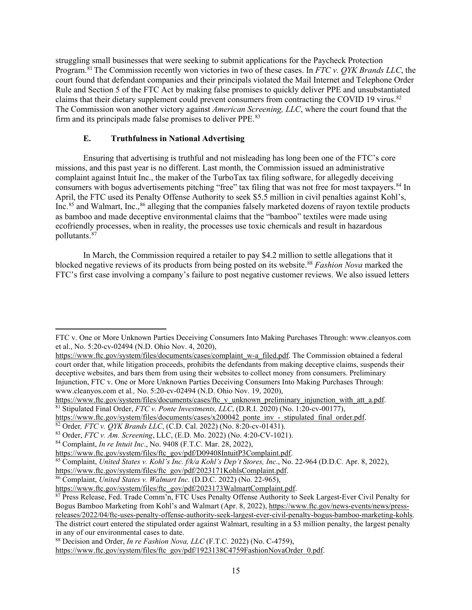The Commission won another victory against *American Screening, LLC*, where the court found that the firm and its principals made false promises to deliver PPE.<sup>83</sup> struggling small businesses that were seeking to submit applications for the Paycheck Protection Program.[81](#page-14-0) The Commission recently won victories in two of these cases. In *FTC v. QYK Brands LLC*, the court found that defendant companies and their principals violated the Mail Internet and Telephone Order Rule and Section 5 of the FTC Act by making false promises to quickly deliver PPE and unsubstantiated claims that their dietary supplement could prevent consumers from contracting the COVID 19 virus.<sup>[82](#page-14-1)</sup>

# **E. Truthfulness in National Advertising**

 complaint against Intuit Inc., the maker of the TurboTax tax filing software, for allegedly deceiving pollutants.<sup>87</sup> Ensuring that advertising is truthful and not misleading has long been one of the FTC's core missions, and this past year is no different. Last month, the Commission issued an administrative consumers with bogus advertisements pitching "free" tax filing that was not free for most taxpayers. [84](#page-14-3) In April, the FTC used its Penalty Offense Authority to seek \$5.5 million in civil penalties against Kohl's, Inc.<sup>[85](#page-14-4)</sup> and Walmart, Inc.,<sup>86</sup> alleging that the companies falsely marketed dozens of rayon textile products as bamboo and made deceptive environmental claims that the "bamboo" textiles were made using ecofriendly processes, when in reality, the processes use toxic chemicals and result in hazardous

 blocked negative reviews of its products from being posted on its website.[88](#page-14-7) *Fashion Nova* marked the In March, the Commission required a retailer to pay \$4.2 million to settle allegations that it FTC's first case involving a company's failure to post negative customer reviews. We also issued letters

 et al., No. 5:20-cv-02494 (N.D. Ohio Nov. 4, 2020), FTC v. One or More Unknown Parties Deceiving Consumers Into Making Purchases Through:<www.cleanyos.com>

[https://www.ftc.gov/system/files/documents/cases/complaint\\_w-a\\_filed.pdf.](https://www.ftc.gov/system/files/documents/cases/complaint_w-a_filed.pdf) The Commission obtained a federal court order that, while litigation proceeds, prohibits the defendants from making deceptive claims, suspends their deceptive websites, and bars them from using their websites to collect money from consumers. Preliminary Injunction, FTC v. One or More Unknown Parties Deceiving Consumers Into Making Purchases Through: <www.cleanyos.com>et al., No. 5:20-cv-02494 (N.D. Ohio Nov. 19, 2020),<br>https://www.ftc.gov/system/files/documents/cases/ftc v unknown preliminary injunction with att a.pdf.

<span id="page-14-0"></span><sup>&</sup>lt;sup>81</sup> Stipulated Final Order, *FTC v. Ponte Investments,*  $\overline{LLC}$ , (D.R.I. 2020) (No. 1:20-cv-00177),<br>https://www.ftc.gov/system/files/documents/cases/x200042 ponte inv - stipulated final order.pdf.

<span id="page-14-1"></span><sup>&</sup>lt;sup>82</sup> Order, *FTC v. QYK Brands LLC*, (C.D. Cal. 2022) (No. 8:20-cv-01431).<br><sup>83</sup> Order, *FTC v. Am. Screening*, LLC, (E.D. Mo. 2022) (No. 4:20-CV-1021).

<span id="page-14-2"></span>

<span id="page-14-3"></span><sup>&</sup>lt;sup>84</sup> Complaint, *In re Intuit Inc.*, No. 9408 (F.T.C. Mar. 28, 2022),<br>https://www.ftc.gov/system/files/ftc\_gov/pdf/D09408IntuitP3Complaint.pdf.

<span id="page-14-4"></span><sup>&</sup>lt;sup>85</sup> Complaint, *United States v. Kohl's Inc. f/k/a Kohl's Dep't Stores, Inc.*, No. 22-964 (D.D.C. Apr. 8, 2022), https://www.ftc.gov/system/files/ftc\_gov/pdf/2023171KohlsComplaint.pdf.

<span id="page-14-5"></span><sup>&</sup>lt;sup>86</sup> Complaint, *United States v. Walmart Inc.* (D.D.C. 2022) (No. 22-965), https://www.ftc.gov/system/files/ftc\_gov/pdf/2023173WalmartComplaint.pdf.

<span id="page-14-6"></span>Bogus Bamboo Marketing from Kohl's and Walmart (Apr. 8, 2022), [https://www.ftc.gov/news-events/news/press-](https://www.ftc.gov/news-events/news/press-releases/2022/04/ftc-uses-penalty-offense-authority-seek-largest-ever-civil-penalty-bogus-bamboo-marketing-kohls) $\frac{87 \text{ Press Release, Fed. Trade Comm}\n}{87 \text{ Press Release, Fed. Trade Comm}\n}$ . FTC Uses Penalty Offense Authority to Seek Largest-Ever Civil Penalty for [releases/2022/04/ftc-uses-penalty-offense-authority-seek-largest-ever-civil-penalty-bogus-bamboo-marketing-kohls.](https://www.ftc.gov/news-events/news/press-releases/2022/04/ftc-uses-penalty-offense-authority-seek-largest-ever-civil-penalty-bogus-bamboo-marketing-kohls) The district court entered the stipulated order against Walmart, resulting in a \$3 million penalty, the largest penalty in any of our environmental cases to date.

<span id="page-14-7"></span><sup>88</sup> Decision and Order, *In re Fashion Nova, LLC* (F.T.C. 2022) (No. C-4759),

[https://www.ftc.gov/system/files/ftc\\_gov/pdf/1923138C4759FashionNovaOrder\\_0.pdf.](https://www.ftc.gov/system/files/ftc_gov/pdf/1923138C4759FashionNovaOrder_0.pdf)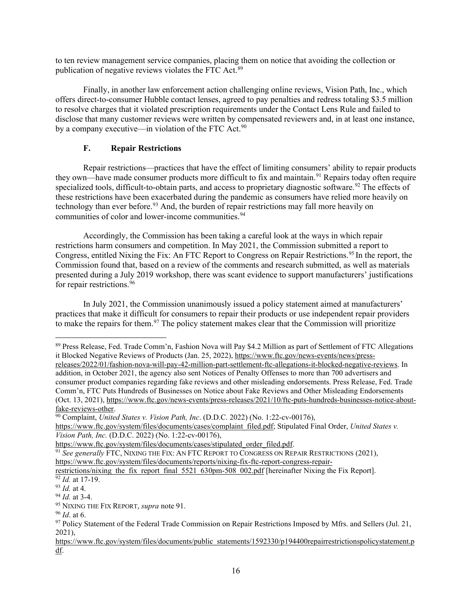to ten review management service companies, placing them on notice that avoiding the collection or publication of negative reviews violates the FTC Act.<sup>89</sup>

by a company executive—in violation of the FTC Act.<sup>90</sup> Finally, in another law enforcement action challenging online reviews, Vision Path, Inc., which offers direct-to-consumer Hubble contact lenses, agreed to pay penalties and redress totaling \$3.5 million to resolve charges that it violated prescription requirements under the Contact Lens Rule and failed to disclose that many customer reviews were written by compensated reviewers and, in at least one instance,

### <span id="page-15-0"></span>**F. Repair Restrictions**

technology than ever before.<sup>[93](#page-15-5)</sup> And, the burden of repair restrictions may fall more heavily on communities of color and lower-income communities.<sup>94</sup> Repair restrictions—practices that have the effect of limiting consumers' ability to repair products they own—have made consumer products more difficult to fix and maintain.<sup>[91](#page-15-3)</sup> Repairs today often require specialized tools, difficult-to-obtain parts, and access to proprietary diagnostic software.<sup>92</sup> The effects of these restrictions have been exacerbated during the pandemic as consumers have relied more heavily on

 restrictions harm consumers and competition. In May 2021, the Commission submitted a report to Commission found that, based on a review of the comments and research submitted, as well as materials for repair restrictions.<sup>[96](#page-15-8)</sup> Accordingly, the Commission has been taking a careful look at the ways in which repair Congress, entitled Nixing the Fix: An FTC Report to Congress on Repair Restrictions.<sup>95</sup> In the report, the presented during a July 2019 workshop, there was scant evidence to support manufacturers' justifications

 practices that make it difficult for consumers to repair their products or use independent repair providers to make the repairs for them.<sup>97</sup> The policy statement makes clear that the Commission will prioritize In July 2021, the Commission unanimously issued a policy statement aimed at manufacturers'

<span id="page-15-2"></span>

<span id="page-15-1"></span> addition, in October 2021, the agency also sent Notices of Penalty Offenses to more than 700 advertisers and (Oct. 13, 2021), [https://www.ftc.gov/news-events/press-releases/2021/10/ftc-puts-hundreds-businesses-notice-about-](https://www.ftc.gov/news-events/press-releases/2021/10/ftc-puts-hundreds-businesses-notice-about-fake-reviews-other)89 Press Release, Fed. Trade Comm'n, Fashion Nova will Pay \$4.2 Million as part of Settlement of FTC Allegations it Blocked Negative Reviews of Products (Jan. 25, 2022)[, https://www.ftc.gov/news-events/news/press](https://www.ftc.gov/news-events/news/press-releases/2022/01/fashion-nova-will-pay-42-million-part-settlement-ftc-allegations-it-blocked-negative-reviews)[releases/2022/01/fashion-nova-will-pay-42-million-part-settlement-ftc-allegations-it-blocked-negative-reviews.](https://www.ftc.gov/news-events/news/press-releases/2022/01/fashion-nova-will-pay-42-million-part-settlement-ftc-allegations-it-blocked-negative-reviews) In consumer product companies regarding fake reviews and other misleading endorsements. Press Release, Fed. Trade Comm'n, FTC Puts Hundreds of Businesses on Notice about Fake Reviews and Other Misleading Endorsements [fake-reviews-other.](https://www.ftc.gov/news-events/press-releases/2021/10/ftc-puts-hundreds-businesses-notice-about-fake-reviews-other) 90 Complaint, *United States v. Vision Path, Inc*. (D.D.C. 2022) (No. 1:22-cv-00176),

 [https://www.ftc.gov/system/files/documents/cases/complaint\\_filed.pdf;](https://www.ftc.gov/system/files/documents/cases/complaint_filed.pdf) Stipulated Final Order, *United States v. Vision Path, Inc.* (D.D.C. 2022) (No. 1:22-cv-00176),

<span id="page-15-3"></span>

 [https://www.ftc.gov/system/files/documents/cases/stipulated\\_order\\_filed.pdf.](https://www.ftc.gov/system/files/documents/cases/stipulated_order_filed.pdf) 91 *See generally* FTC, NIXING THE FIX: AN FTC REPORT TO CONGRESS ON REPAIR RESTRICTIONS (2021),

https://www.ftc.gov/system/files/documents/reports/nixing-fix-ftc-report-congress-repair-<br>restrictions/nixing the fix report final 5521 630pm-508 002.pdf [hereinafter Nixing the Fix Report].

<span id="page-15-6"></span><span id="page-15-5"></span> $^{93}$  *Id.* at 4.<br> $^{94}$  *Id.* at 3-4.

<span id="page-15-7"></span>

<span id="page-15-9"></span><span id="page-15-8"></span>

<span id="page-15-4"></span><sup>&</sup>lt;sup>92</sup> *Id.* at 17-19.<br><sup>93</sup> *Id.* at 4.<br><sup>94</sup> *Id.* at 3-4.<br><sup>95</sup> NIXING THE FIX REPORT, *supra* not[e 91.](#page-15-0)<br><sup>96</sup> *Id.* at 6.<br><sup>97</sup> Policy Statement of the Federal Trade Commission on Repair Restrictions Imposed by Mfrs. and Sell 2021),

https://www.ftc.gov/system/files/documents/public\_statements/1592330/p194400repairrestrictionspolicystatement.p [df.](https://www.ftc.gov/system/files/documents/public_statements/1592330/p194400repairrestrictionspolicystatement.pdf)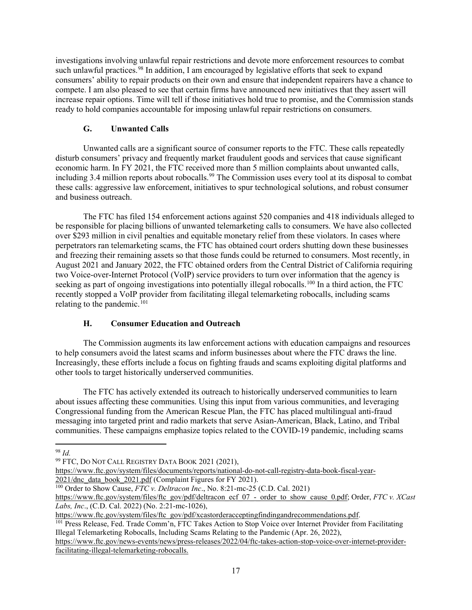consumers' ability to repair products on their own and ensure that independent repairers have a chance to compete. I am also pleased to see that certain firms have announced new initiatives that they assert will ready to hold companies accountable for imposing unlawful repair restrictions on consumers. investigations involving unlawful repair restrictions and devote more enforcement resources to combat such unlawful practices.<sup>[98](#page-16-0)</sup> In addition, I am encouraged by legislative efforts that seek to expand increase repair options. Time will tell if those initiatives hold true to promise, and the Commission stands

### **G. Unwanted Calls**

 these calls: aggressive law enforcement, initiatives to spur technological solutions, and robust consumer Unwanted calls are a significant source of consumer reports to the FTC. These calls repeatedly disturb consumers' privacy and frequently market fraudulent goods and services that cause significant economic harm. In FY 2021, the FTC received more than 5 million complaints about unwanted calls, including 3.4 million reports about robocalls.<sup>[99](#page-16-1)</sup> The Commission uses every tool at its disposal to combat and business outreach.

 be responsible for placing billions of unwanted telemarketing calls to consumers. We have also collected over \$293 million in civil penalties and equitable monetary relief from these violators. In cases where perpetrators ran telemarketing scams, the FTC has obtained court orders shutting down these businesses and freezing their remaining assets so that those funds could be returned to consumers. Most recently, in The FTC has filed 154 enforcement actions against 520 companies and 418 individuals alleged to August 2021 and January 2022, the FTC obtained orders from the Central District of California requiring two Voice-over-Internet Protocol (VoIP) service providers to turn over information that the agency is seeking as part of ongoing investigations into potentially illegal robocalls.<sup>100</sup> In a third action, the FTC recently stopped a VoIP provider from facilitating illegal telemarketing robocalls, including scams relating to the pandemic. $101$ 

# **H. Consumer Education and Outreach**

 The Commission augments its law enforcement actions with education campaigns and resources Increasingly, these efforts include a focus on fighting frauds and scams exploiting digital platforms and to help consumers avoid the latest scams and inform businesses about where the FTC draws the line. other tools to target historically underserved communities.

 about issues affecting these communities. Using this input from various communities, and leveraging Congressional funding from the American Rescue Plan, the FTC has placed multilingual anti-fraud messaging into targeted print and radio markets that serve Asian-American, Black, Latino, and Tribal communities. These campaigns emphasize topics related to the COVID-19 pandemic, including scams The FTC has actively extended its outreach to historically underserved communities to learn

<span id="page-16-3"></span> Illegal Telemarketing Robocalls, Including Scams Relating to the Pandemic (Apr. 26, 2022), [https://www.ftc.gov/system/files/ftc\\_gov/pdf/xcastorderacceptingfindingandrecommendations.pdf.](https://www.ftc.gov/system/files/ftc_gov/pdf/xcastorderacceptingfindingandrecommendations.pdf)<br><sup>101</sup> Press Release, Fed. Trade Comm'n, FTC Takes Action to Stop Voice over Internet Provider from Facilitating

[https://www.ftc.gov/news-events/news/press-releases/2022/04/ftc-takes-action-stop-voice-over-internet-provider](https://www.ftc.gov/news-events/news/press-releases/2022/04/ftc-takes-action-stop-voice-over-internet-provider-facilitating-illegal-telemarketing-robocalls)[facilitating-illegal-telemarketing-robocalls.](https://www.ftc.gov/news-events/news/press-releases/2022/04/ftc-takes-action-stop-voice-over-internet-provider-facilitating-illegal-telemarketing-robocalls)

 98 *Id.* 

<span id="page-16-1"></span><span id="page-16-0"></span><sup>&</sup>lt;sup>99</sup> FTC, DO NOT CALL REGISTRY DATA BOOK 2021 (2021),

https://www.ftc.gov/system/files/documents/reports/national-do-not-call-registry-data-book-fiscal-year-<br>2021/dnc data book 2021.pdf (Complaint Figures for FY 2021).

<span id="page-16-2"></span><sup>&</sup>lt;sup>100</sup> Order to Show Cause, *FTC v. Deltracon Inc.*, No. 8:21-mc-25 (C.D. Cal. 2021)

[https://www.ftc.gov/system/files/ftc\\_gov/pdf/deltracon\\_ecf\\_07\\_-\\_order\\_to\\_show\\_cause\\_0.pdf;](https://www.ftc.gov/system/files/ftc_gov/pdf/deltracon_ecf_07_-_order_to_show_cause_0.pdf) Order, *FTC v. XCast Labs, Inc*., (C.D. Cal. 2022) (No. 2:21-mc-1026),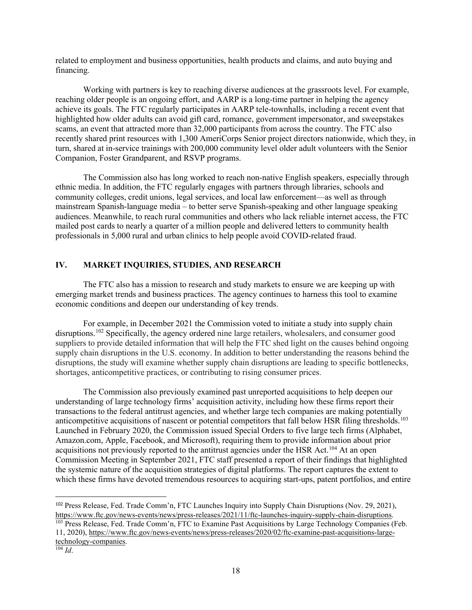related to employment and business opportunities, health products and claims, and auto buying and financing.

 highlighted how older adults can avoid gift card, romance, government impersonator, and sweepstakes scams, an event that attracted more than 32,000 participants from across the country. The FTC also Companion, Foster Grandparent, and RSVP programs. Working with partners is key to reaching diverse audiences at the grassroots level. For example, reaching older people is an ongoing effort, and AARP is a long-time partner in helping the agency achieve its goals. The FTC regularly participates in AARP tele-townhalls, including a recent event that recently shared print resources with 1,300 AmeriCorps Senior project directors nationwide, which they, in turn, shared at in-service trainings with 200,000 community level older adult volunteers with the Senior

 community colleges, credit unions, legal services, and local law enforcement—as well as through mainstream Spanish-language media – to better serve Spanish-speaking and other language speaking audiences. Meanwhile, to reach rural communities and others who lack reliable internet access, the FTC The Commission also has long worked to reach non-native English speakers, especially through ethnic media. In addition, the FTC regularly engages with partners through libraries, schools and mailed post cards to nearly a quarter of a million people and delivered letters to community health professionals in 5,000 rural and urban clinics to help people avoid COVID-related fraud.

### **IV. MARKET INQUIRIES, STUDIES, AND RESEARCH**

 emerging market trends and business practices. The agency continues to harness this tool to examine economic conditions and deepen our understanding of key trends. The FTC also has a mission to research and study markets to ensure we are keeping up with

For example, in December 2021 the Commission voted to initiate a study into supply chain disruptions.<sup>102</sup> Specifically, the agency ordered nine large retailers, wholesalers, and consumer good suppliers to provide detailed information that will help the FTC shed light on the causes behind ongoing supply chain disruptions in the U.S. economy. In addition to better understanding the reasons behind the disruptions, the study will examine whether supply chain disruptions are leading to specific bottlenecks, shortages, anticompetitive practices, or contributing to rising consumer prices.

 understanding of large technology firms' acquisition activity, including how these firms report their [Amazon.com](https://Amazon.com), Apple, Facebook, and Microsoft), requiring them to provide information about prior the systemic nature of the acquisition strategies of digital platforms. The report captures the extent to The Commission also previously examined past unreported acquisitions to help deepen our transactions to the federal antitrust agencies, and whether large tech companies are making potentially anticompetitive acquisitions of nascent or potential competitors that fall below HSR filing thresholds.<sup>103</sup> Launched in February 2020, the Commission issued Special Orders to five large tech firms (Alphabet, acquisitions not previously reported to the antitrust agencies under the HSR Act.[104](#page-17-2) At an open Commission Meeting in September 2021, FTC staff presented a report of their findings that highlighted which these firms have devoted tremendous resources to acquiring start-ups, patent portfolios, and entire

<span id="page-17-0"></span><sup>&</sup>lt;sup>102</sup> Press Release, Fed. Trade Comm'n, FTC Launches Inquiry into Supply Chain Disruptions (Nov. 29, 2021), [https://www.ftc.gov/news-events/news/press-releases/2021/11/ftc-launches-inquiry-supply-chain-disruptions.](https://www.ftc.gov/news-events/news/press-releases/2021/11/ftc-launches-inquiry-supply-chain-disruptions)<br><sup>103</sup> Press Release, Fed. Trade Comm'n, FTC to Examine Past Acquisitions by Large Technology Companies (Feb.

<span id="page-17-1"></span><sup>11, 2020),</sup> [https://www.ftc.gov/news-events/news/press-releases/2020/02/ftc-examine-past-acquisitions-large](https://www.ftc.gov/news-events/news/press-releases/2020/02/ftc-examine-past-acquisitions-large-technology-companies.)technology-companies.

<span id="page-17-2"></span> $104$  *Id.*